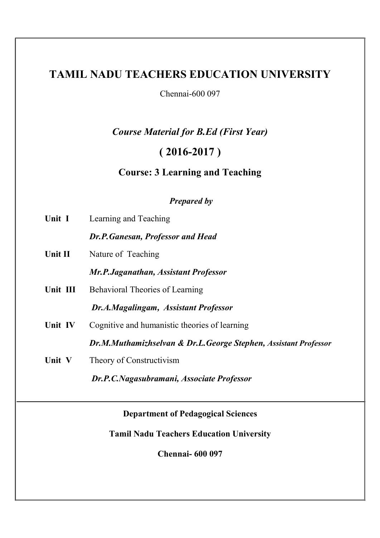# TAMIL NADU TEACHERS EDUCATION UNIVERSITY

Chennai-600 097

# Course Material for B.Ed (First Year)

# ( 2016-2017 )

# Course: 3 Learning and Teaching

Prepared by

| Learning and Teaching                                           |
|-----------------------------------------------------------------|
| <b>Dr.P.Ganesan, Professor and Head</b>                         |
| Nature of Teaching                                              |
| Mr.P.Jaganathan, Assistant Professor                            |
| <b>Behavioral Theories of Learning</b>                          |
| Dr.A.Magalingam, Assistant Professor                            |
| Cognitive and humanistic theories of learning                   |
| Dr.M.Muthamizhselvan & Dr.L.George Stephen, Assistant Professor |
| Theory of Constructivism                                        |
| Dr.P.C.Nagasubramani, Associate Professor                       |
|                                                                 |

Department of Pedagogical Sciences

Tamil Nadu Teachers Education University

Chennai- 600 097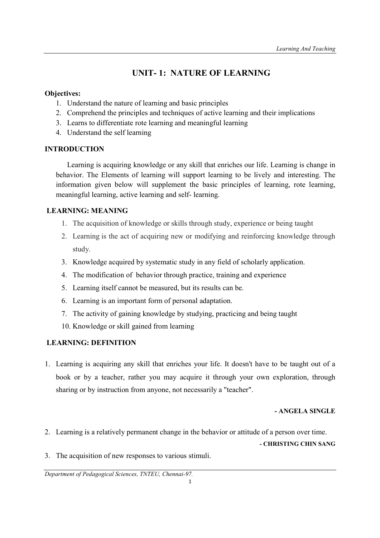# UNIT- 1: NATURE OF LEARNING

# Objectives:

- 1. Understand the nature of learning and basic principles
- 2. Comprehend the principles and techniques of active learning and their implications
- 3. Learns to differentiate rote learning and meaningful learning
- 4. Understand the self learning

# INTRODUCTION

Learning is acquiring knowledge or any skill that enriches our life. Learning is change in behavior. The Elements of learning will support learning to be lively and interesting. The information given below will supplement the basic principles of learning, rote learning, meaningful learning, active learning and self- learning.

# LEARNING: MEANING

- 1. The acquisition of knowledge or skills through study, experience or being taught
- 2. Learning is the act of acquiring new or modifying and reinforcing knowledge through study.
- 3. Knowledge acquired by systematic study in any field of scholarly application.
- 4. The modification of behavior through practice, training and experience
- 5. Learning itself cannot be measured, but its results can be.
- 6. Learning is an important form of personal adaptation.
- 7. The activity of gaining knowledge by studying, practicing and being taught
- 10. Knowledge or skill gained from learning

# LEARNING: DEFINITION

1. Learning is acquiring any skill that enriches your life. It doesn't have to be taught out of a book or by a teacher, rather you may acquire it through your own exploration, through sharing or by instruction from anyone, not necessarily a "teacher".

# - ANGELA SINGLE

2. Learning is a relatively permanent change in the behavior or attitude of a person over time.

- CHRISTING CHIN SANG

3. The acquisition of new responses to various stimuli.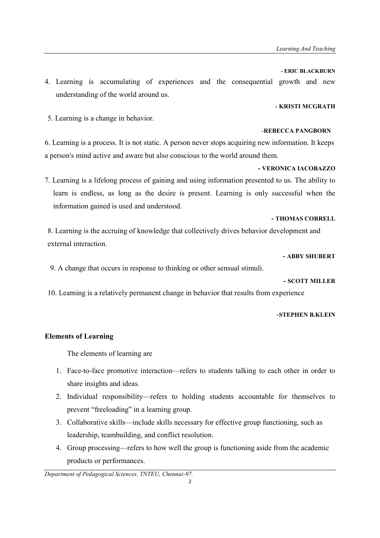#### - ERIC BLACKBURN

4. Learning is accumulating of experiences and the consequential growth and new understanding of the world around us.

#### - KRISTI MCGRATH

5. Learning is a change in behavior.

#### -REBECCA PANGBORN

6. Learning is a process. It is not static. A person never stops acquiring new information. It keeps a person's mind active and aware but also conscious to the world around them.

#### - VERONICA IACOBAZZO

7. Learning is a lifelong process of gaining and using information presented to us. The ability to learn is endless, as long as the desire is present. Learning is only successful when the information gained is used and understood.

#### - THOMAS CORRELL

8. Learning is the accruing of knowledge that collectively drives behavior development and external interaction.

#### - ABBY SHUBERT

9. A change that occurs in response to thinking or other sensual stimuli.

#### - SCOTT MILLER

10. Learning is a relatively permanent change in behavior that results from experience

#### -STEPHEN B.KLEIN

## Elements of Learning

The elements of learning are

- 1. Face-to-face promotive interaction—refers to students talking to each other in order to share insights and ideas.
- 2. Individual responsibility—refers to holding students accountable for themselves to prevent "freeloading" in a learning group.
- 3. Collaborative skills—include skills necessary for effective group functioning, such as leadership, teambuilding, and conflict resolution.
- 4. Group processing—refers to how well the group is functioning aside from the academic products or performances.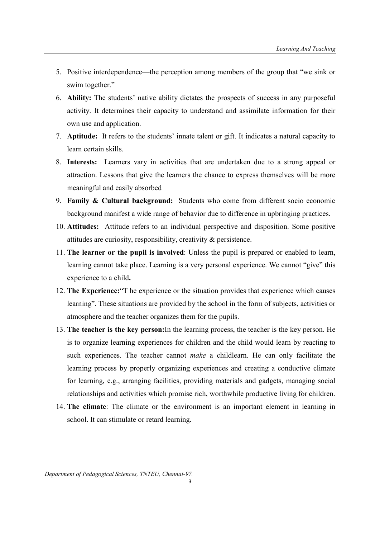- 5. Positive interdependence—the perception among members of the group that "we sink or swim together."
- 6. Ability: The students' native ability dictates the prospects of success in any purposeful activity. It determines their capacity to understand and assimilate information for their own use and application.
- 7. Aptitude: It refers to the students' innate talent or gift. It indicates a natural capacity to learn certain skills.
- 8. Interests: Learners vary in activities that are undertaken due to a strong appeal or attraction. Lessons that give the learners the chance to express themselves will be more meaningful and easily absorbed
- 9. Family & Cultural background: Students who come from different socio economic background manifest a wide range of behavior due to difference in upbringing practices.
- 10. Attitudes: Attitude refers to an individual perspective and disposition. Some positive attitudes are curiosity, responsibility, creativity & persistence.
- 11. The learner or the pupil is involved: Unless the pupil is prepared or enabled to learn, learning cannot take place. Learning is a very personal experience. We cannot "give" this experience to a child.
- 12. The Experience:"T he experience or the situation provides that experience which causes learning". These situations are provided by the school in the form of subjects, activities or atmosphere and the teacher organizes them for the pupils.
- 13. The teacher is the key person:In the learning process, the teacher is the key person. He is to organize learning experiences for children and the child would learn by reacting to such experiences. The teacher cannot *make* a childlearn. He can only facilitate the learning process by properly organizing experiences and creating a conductive climate for learning, e.g., arranging facilities, providing materials and gadgets, managing social relationships and activities which promise rich, worthwhile productive living for children.
- 14. The climate: The climate or the environment is an important element in learning in school. It can stimulate or retard learning.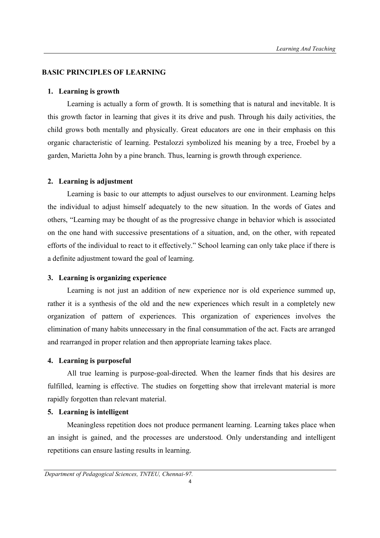## BASIC PRINCIPLES OF LEARNING

#### 1. Learning is growth

 Learning is actually a form of growth. It is something that is natural and inevitable. It is this growth factor in learning that gives it its drive and push. Through his daily activities, the child grows both mentally and physically. Great educators are one in their emphasis on this organic characteristic of learning. Pestalozzi symbolized his meaning by a tree, Froebel by a garden, Marietta John by a pine branch. Thus, learning is growth through experience.

## 2. Learning is adjustment

 Learning is basic to our attempts to adjust ourselves to our environment. Learning helps the individual to adjust himself adequately to the new situation. In the words of Gates and others, "Learning may be thought of as the progressive change in behavior which is associated on the one hand with successive presentations of a situation, and, on the other, with repeated efforts of the individual to react to it effectively." School learning can only take place if there is a definite adjustment toward the goal of learning.

#### 3. Learning is organizing experience

Learning is not just an addition of new experience nor is old experience summed up, rather it is a synthesis of the old and the new experiences which result in a completely new organization of pattern of experiences. This organization of experiences involves the elimination of many habits unnecessary in the final consummation of the act. Facts are arranged and rearranged in proper relation and then appropriate learning takes place.

#### 4. Learning is purposeful

All true learning is purpose-goal-directed. When the learner finds that his desires are fulfilled, learning is effective. The studies on forgetting show that irrelevant material is more rapidly forgotten than relevant material.

#### 5. Learning is intelligent

Meaningless repetition does not produce permanent learning. Learning takes place when an insight is gained, and the processes are understood. Only understanding and intelligent repetitions can ensure lasting results in learning.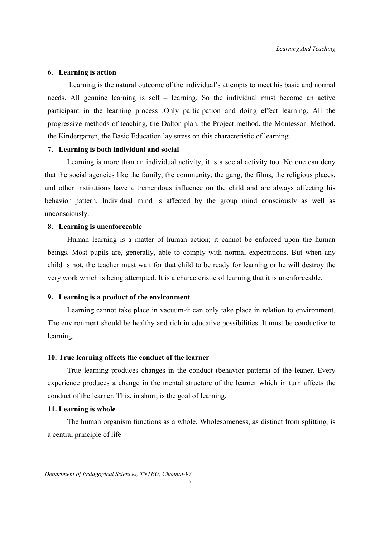#### 6. Learning is action

 Learning is the natural outcome of the individual's attempts to meet his basic and normal needs. All genuine learning is self – learning. So the individual must become an active participant in the learning process .Only participation and doing effect learning. All the progressive methods of teaching, the Dalton plan, the Project method, the Montessori Method, the Kindergarten, the Basic Education lay stress on this characteristic of learning.

#### 7. Learning is both individual and social

Learning is more than an individual activity; it is a social activity too. No one can deny that the social agencies like the family, the community, the gang, the films, the religious places, and other institutions have a tremendous influence on the child and are always affecting his behavior pattern. Individual mind is affected by the group mind consciously as well as unconsciously.

#### 8. Learning is unenforceable

 Human learning is a matter of human action; it cannot be enforced upon the human beings. Most pupils are, generally, able to comply with normal expectations. But when any child is not, the teacher must wait for that child to be ready for learning or he will destroy the very work which is being attempted. It is a characteristic of learning that it is unenforceable.

#### 9. Learning is a product of the environment

Learning cannot take place in vacuum-it can only take place in relation to environment. The environment should be healthy and rich in educative possibilities. It must be conductive to learning.

#### 10. True learning affects the conduct of the learner

True learning produces changes in the conduct (behavior pattern) of the leaner. Every experience produces a change in the mental structure of the learner which in turn affects the conduct of the learner. This, in short, is the goal of learning.

#### 11. Learning is whole

The human organism functions as a whole. Wholesomeness, as distinct from splitting, is a central principle of life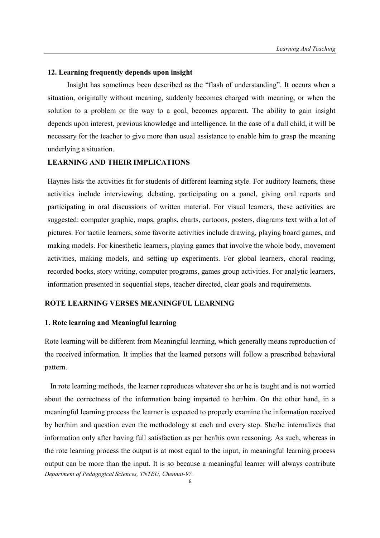#### 12. Learning frequently depends upon insight

Insight has sometimes been described as the "flash of understanding". It occurs when a situation, originally without meaning, suddenly becomes charged with meaning, or when the solution to a problem or the way to a goal, becomes apparent. The ability to gain insight depends upon interest, previous knowledge and intelligence. In the case of a dull child, it will be necessary for the teacher to give more than usual assistance to enable him to grasp the meaning underlying a situation.

#### LEARNING AND THEIR IMPLICATIONS

Haynes lists the activities fit for students of different learning style. For auditory learners, these activities include interviewing, debating, participating on a panel, giving oral reports and participating in oral discussions of written material. For visual learners, these activities are suggested: computer graphic, maps, graphs, charts, cartoons, posters, diagrams text with a lot of pictures. For tactile learners, some favorite activities include drawing, playing board games, and making models. For kinesthetic learners, playing games that involve the whole body, movement activities, making models, and setting up experiments. For global learners, choral reading, recorded books, story writing, computer programs, games group activities. For analytic learners, information presented in sequential steps, teacher directed, clear goals and requirements.

#### ROTE LEARNING VERSES MEANINGFUL LEARNING

#### 1. Rote learning and Meaningful learning

Rote learning will be different from Meaningful learning, which generally means reproduction of the received information. It implies that the learned persons will follow a prescribed behavioral pattern.

 In rote learning methods, the learner reproduces whatever she or he is taught and is not worried about the correctness of the information being imparted to her/him. On the other hand, in a meaningful learning process the learner is expected to properly examine the information received by her/him and question even the methodology at each and every step. She/he internalizes that information only after having full satisfaction as per her/his own reasoning. As such, whereas in the rote learning process the output is at most equal to the input, in meaningful learning process output can be more than the input. It is so because a meaningful learner will always contribute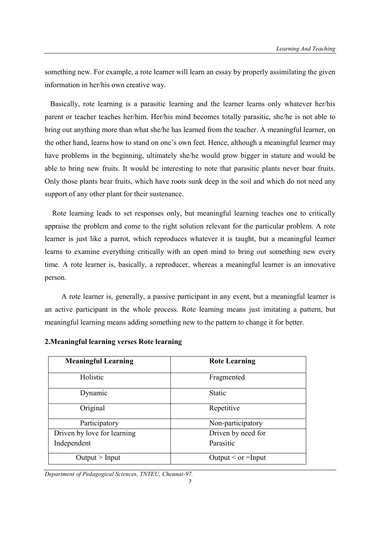something new. For example, a rote learner will learn an essay by properly assimilating the given information in her/his own creative way.

 Basically, rote learning is a parasitic learning and the learner learns only whatever her/his parent or teacher teaches her/him. Her/his mind becomes totally parasitic, she/he is not able to bring out anything more than what she/he has learned from the teacher. A meaningful learner, on the other hand, learns how to stand on one's own feet. Hence, although a meaningful learner may have problems in the beginning, ultimately she/he would grow bigger in stature and would be able to bring new fruits. It would be interesting to note that parasitic plants never bear fruits. Only those plants bear fruits, which have roots sunk deep in the soil and which do not need any support of any other plant for their sustenance.

 Rote learning leads to set responses only, but meaningful learning teaches one to critically appraise the problem and come to the right solution relevant for the particular problem. A rote learner is just like a parrot, which reproduces whatever it is taught, but a meaningful learner learns to examine everything critically with an open mind to bring out something new every time. A rote learner is, basically, a reproducer, whereas a meaningful learner is an innovative person.

 A rote learner is, generally, a passive participant in any event, but a meaningful learner is an active participant in the whole process. Rote learning means just imitating a pattern, but meaningful learning means adding something new to the pattern to change it for better.

| <b>Meaningful Learning</b>  | <b>Rote Learning</b>       |
|-----------------------------|----------------------------|
| Holistic                    | Fragmented                 |
| Dynamic                     | <b>Static</b>              |
| Original                    | Repetitive                 |
| Participatory               | Non-participatory          |
| Driven by love for learning | Driven by need for         |
| Independent                 | Parasitic                  |
| Output $>$ Input            | Output $\leq$ or $=$ Input |

#### 2.Meaningful learning verses Rote learning

Department of Pedagogical Sciences, TNTEU, Chennai-97.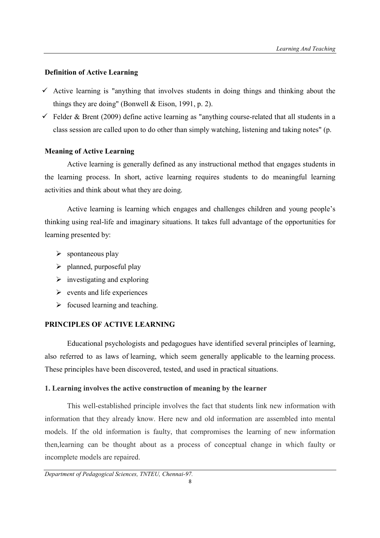# Definition of Active Learning

- $\checkmark$  Active learning is "anything that involves students in doing things and thinking about the things they are doing" (Bonwell  $& Eison, 1991, p. 2$ ).
- $\checkmark$  Felder & Brent (2009) define active learning as "anything course-related that all students in a class session are called upon to do other than simply watching, listening and taking notes" (p.

# Meaning of Active Learning

 Active learning is generally defined as any instructional method that engages students in the learning process. In short, active learning requires students to do meaningful learning activities and think about what they are doing.

 Active learning is learning which engages and challenges children and young people's thinking using real-life and imaginary situations. It takes full advantage of the opportunities for learning presented by:

- $\triangleright$  spontaneous play
- $\triangleright$  planned, purposeful play
- $\triangleright$  investigating and exploring
- $\triangleright$  events and life experiences
- $\triangleright$  focused learning and teaching.

# PRINCIPLES OF ACTIVE LEARNING

 Educational psychologists and pedagogues have identified several principles of learning, also referred to as laws of learning, which seem generally applicable to the learning process. These principles have been discovered, tested, and used in practical situations.

## 1. Learning involves the active construction of meaning by the learner

 This well-established principle involves the fact that students link new information with information that they already know. Here new and old information are assembled into mental models. If the old information is faulty, that compromises the learning of new information then,learning can be thought about as a process of conceptual change in which faulty or incomplete models are repaired.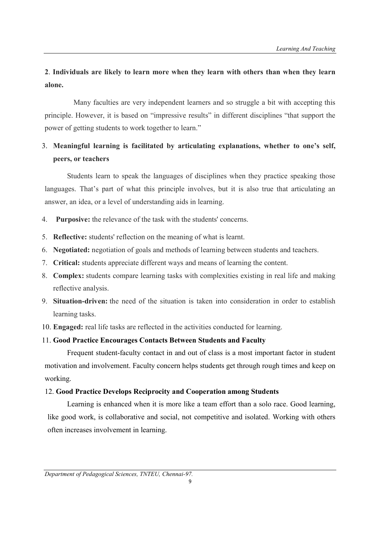# 2. Individuals are likely to learn more when they learn with others than when they learn alone.

 Many faculties are very independent learners and so struggle a bit with accepting this principle. However, it is based on "impressive results" in different disciplines "that support the power of getting students to work together to learn."

# 3. Meaningful learning is facilitated by articulating explanations, whether to one's self, peers, or teachers

 Students learn to speak the languages of disciplines when they practice speaking those languages. That's part of what this principle involves, but it is also true that articulating an answer, an idea, or a level of understanding aids in learning.

- 4. Purposive: the relevance of the task with the students' concerns.
- 5. Reflective: students' reflection on the meaning of what is learnt.
- 6. Negotiated: negotiation of goals and methods of learning between students and teachers.
- 7. Critical: students appreciate different ways and means of learning the content.
- 8. Complex: students compare learning tasks with complexities existing in real life and making reflective analysis.
- 9. Situation-driven: the need of the situation is taken into consideration in order to establish learning tasks.
- 10. Engaged: real life tasks are reflected in the activities conducted for learning.

# 11. Good Practice Encourages Contacts Between Students and Faculty

 Frequent student-faculty contact in and out of class is a most important factor in student motivation and involvement. Faculty concern helps students get through rough times and keep on working.

# 12. Good Practice Develops Reciprocity and Cooperation among Students

 Learning is enhanced when it is more like a team effort than a solo race. Good learning, like good work, is collaborative and social, not competitive and isolated. Working with others often increases involvement in learning.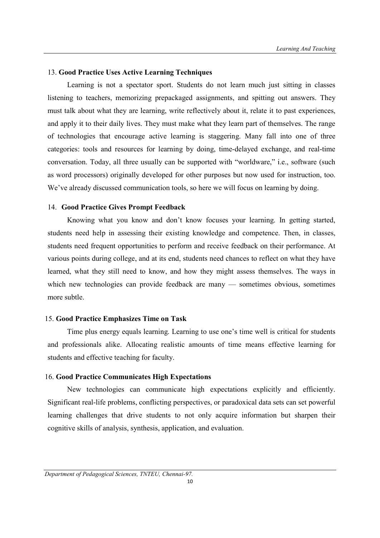#### 13. Good Practice Uses Active Learning Techniques

 Learning is not a spectator sport. Students do not learn much just sitting in classes listening to teachers, memorizing prepackaged assignments, and spitting out answers. They must talk about what they are learning, write reflectively about it, relate it to past experiences, and apply it to their daily lives. They must make what they learn part of themselves. The range of technologies that encourage active learning is staggering. Many fall into one of three categories: tools and resources for learning by doing, time-delayed exchange, and real-time conversation. Today, all three usually can be supported with "worldware," i.e., software (such as word processors) originally developed for other purposes but now used for instruction, too. We've already discussed communication tools, so here we will focus on learning by doing.

## 14. Good Practice Gives Prompt Feedback

 Knowing what you know and don't know focuses your learning. In getting started, students need help in assessing their existing knowledge and competence. Then, in classes, students need frequent opportunities to perform and receive feedback on their performance. At various points during college, and at its end, students need chances to reflect on what they have learned, what they still need to know, and how they might assess themselves. The ways in which new technologies can provide feedback are many — sometimes obvious, sometimes more subtle.

#### 15. Good Practice Emphasizes Time on Task

 Time plus energy equals learning. Learning to use one's time well is critical for students and professionals alike. Allocating realistic amounts of time means effective learning for students and effective teaching for faculty.

#### 16. Good Practice Communicates High Expectations

New technologies can communicate high expectations explicitly and efficiently. Significant real-life problems, conflicting perspectives, or paradoxical data sets can set powerful learning challenges that drive students to not only acquire information but sharpen their cognitive skills of analysis, synthesis, application, and evaluation.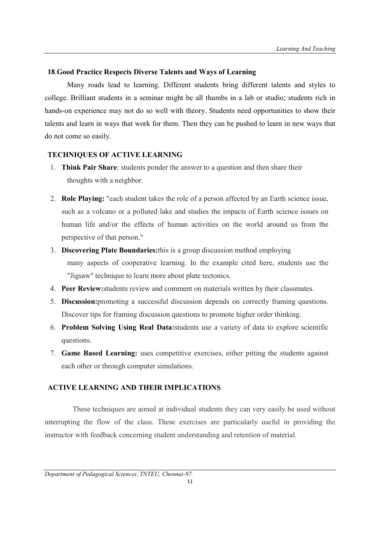# 18.Good Practice Respects Diverse Talents and Ways of Learning

 Many roads lead to learning. Different students bring different talents and styles to college. Brilliant students in a seminar might be all thumbs in a lab or studio; students rich in hands-on experience may not do so well with theory. Students need opportunities to show their talents and learn in ways that work for them. Then they can be pushed to learn in new ways that do not come so easily.

# TECHNIQUES OF ACTIVE LEARNING

- 1. Think Pair Share: students ponder the answer to a question and then share their thoughts with a neighbor.
- 2. Role Playing: "each student takes the role of a person affected by an Earth science issue, such as a volcano or a polluted lake and studies the impacts of Earth science issues on human life and/or the effects of human activities on the world around us from the perspective of that person."
- 3. Discovering Plate Boundaries:this is a group discussion method employing many aspects of cooperative learning. In the example cited here, students use the "Jigsaw" technique to learn more about plate tectonics.
- 4. Peer Review:students review and comment on materials written by their classmates.
- 5. Discussion:promoting a successful discussion depends on correctly framing questions. Discover tips for framing discussion questions to promote higher order thinking.
- 6. Problem Solving Using Real Data:students use a variety of data to explore scientific questions.
- 7. Game Based Learning: uses competitive exercises, either pitting the students against each other or through computer simulations.

# ACTIVE LEARNING AND THEIR IMPLICATIONS

 These techniques are aimed at individual students they can very easily be used without interrupting the flow of the class. These exercises are particularly useful in providing the instructor with feedback concerning student understanding and retention of material.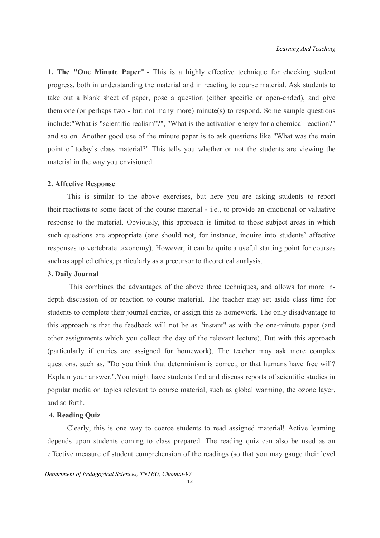1. The "One Minute Paper" - This is a highly effective technique for checking student progress, both in understanding the material and in reacting to course material. Ask students to take out a blank sheet of paper, pose a question (either specific or open-ended), and give them one (or perhaps two - but not many more) minute(s) to respond. Some sample questions include:"What is "scientific realism"?", "What is the activation energy for a chemical reaction?" and so on. Another good use of the minute paper is to ask questions like "What was the main point of today's class material?" This tells you whether or not the students are viewing the material in the way you envisioned.

#### 2. Affective Response

 This is similar to the above exercises, but here you are asking students to report their reactions to some facet of the course material - i.e., to provide an emotional or valuative response to the material. Obviously, this approach is limited to those subject areas in which such questions are appropriate (one should not, for instance, inquire into students' affective responses to vertebrate taxonomy). However, it can be quite a useful starting point for courses such as applied ethics, particularly as a precursor to theoretical analysis.

#### 3. Daily Journal

 This combines the advantages of the above three techniques, and allows for more indepth discussion of or reaction to course material. The teacher may set aside class time for students to complete their journal entries, or assign this as homework. The only disadvantage to this approach is that the feedback will not be as "instant" as with the one-minute paper (and other assignments which you collect the day of the relevant lecture). But with this approach (particularly if entries are assigned for homework), The teacher may ask more complex questions, such as, "Do you think that determinism is correct, or that humans have free will? Explain your answer.",You might have students find and discuss reports of scientific studies in popular media on topics relevant to course material, such as global warming, the ozone layer, and so forth.

#### 4. Reading Quiz

 Clearly, this is one way to coerce students to read assigned material! Active learning depends upon students coming to class prepared. The reading quiz can also be used as an effective measure of student comprehension of the readings (so that you may gauge their level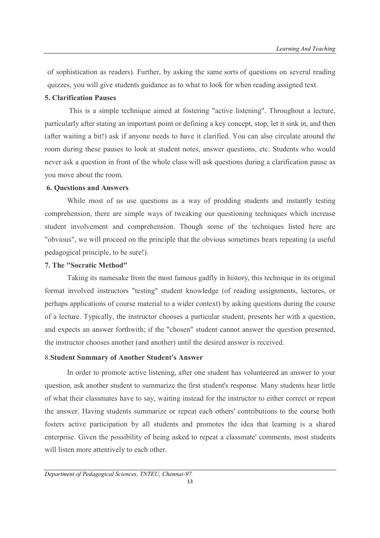of sophistication as readers). Further, by asking the same sorts of questions on several reading quizzes, you will give students guidance as to what to look for when reading assigned text.

#### 5. Clarification Pauses

 This is a simple technique aimed at fostering "active listening". Throughout a lecture, particularly after stating an important point or defining a key concept, stop, let it sink in, and then (after waiting a bit!) ask if anyone needs to have it clarified. You can also circulate around the room during these pauses to look at student notes, answer questions, etc. Students who would never ask a question in front of the whole class will ask questions during a clarification pause as you move about the room.

#### 6. Questions and Answers

 While most of us use questions as a way of prodding students and instantly testing comprehension, there are simple ways of tweaking our questioning techniques which increase student involvement and comprehension. Though some of the techniques listed here are "obvious", we will proceed on the principle that the obvious sometimes bears repeating (a useful pedagogical principle, to be sure!).

#### 7. The "Socratic Method"

 Taking its namesake from the most famous gadfly in history, this technique in its original format involved instructors "testing" student knowledge (of reading assignments, lectures, or perhaps applications of course material to a wider context) by asking questions during the course of a lecture. Typically, the instructor chooses a particular student, presents her with a question, and expects an answer forthwith; if the "chosen" student cannot answer the question presented, the instructor chooses another (and another) until the desired answer is received.

## 8.Student Summary of Another Student's Answer

 In order to promote active listening, after one student has volunteered an answer to your question, ask another student to summarize the first student's response. Many students hear little of what their classmates have to say, waiting instead for the instructor to either correct or repeat the answer. Having students summarize or repeat each others' contributions to the course both fosters active participation by all students and promotes the idea that learning is a shared enterprise. Given the possibility of being asked to repeat a classmate' comments, most students will listen more attentively to each other.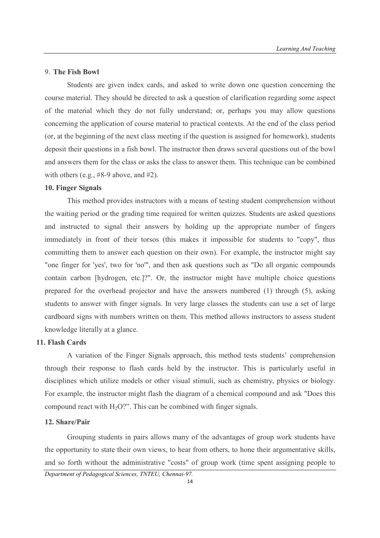#### 9. The Fish Bowl

 Students are given index cards, and asked to write down one question concerning the course material. They should be directed to ask a question of clarification regarding some aspect of the material which they do not fully understand; or, perhaps you may allow questions concerning the application of course material to practical contexts. At the end of the class period (or, at the beginning of the next class meeting if the question is assigned for homework), students deposit their questions in a fish bowl. The instructor then draws several questions out of the bowl and answers them for the class or asks the class to answer them. This technique can be combined with others (e.g.,  $\#8-9$  above, and  $\#2$ ).

#### 10. Finger Signals

 This method provides instructors with a means of testing student comprehension without the waiting period or the grading time required for written quizzes. Students are asked questions and instructed to signal their answers by holding up the appropriate number of fingers immediately in front of their torsos (this makes it impossible for students to "copy", thus committing them to answer each question on their own). For example, the instructor might say "one finger for 'yes', two for 'no'", and then ask questions such as "Do all organic compounds contain carbon [hydrogen, etc.]?". Or, the instructor might have multiple choice questions prepared for the overhead projector and have the answers numbered (1) through (5), asking students to answer with finger signals. In very large classes the students can use a set of large cardboard signs with numbers written on them. This method allows instructors to assess student knowledge literally at a glance.

#### 11. Flash Cards

 A variation of the Finger Signals approach, this method tests students' comprehension through their response to flash cards held by the instructor. This is particularly useful in disciplines which utilize models or other visual stimuli, such as chemistry, physics or biology. For example, the instructor might flash the diagram of a chemical compound and ask "Does this compound react with  $H_2O$ ?". This can be combined with finger signals.

#### 12. Share/Pair

 Grouping students in pairs allows many of the advantages of group work students have the opportunity to state their own views, to hear from others, to hone their argumentative skills, and so forth without the administrative "costs" of group work (time spent assigning people to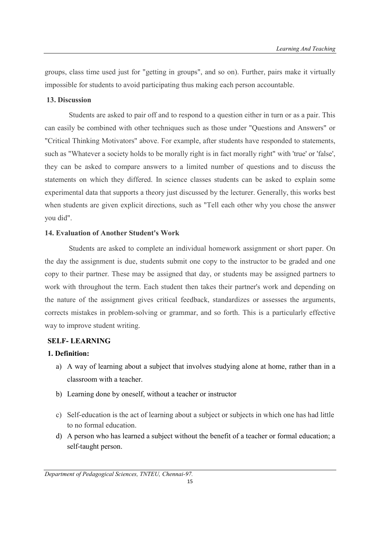groups, class time used just for "getting in groups", and so on). Further, pairs make it virtually impossible for students to avoid participating thus making each person accountable.

## 13. Discussion

 Students are asked to pair off and to respond to a question either in turn or as a pair. This can easily be combined with other techniques such as those under "Questions and Answers" or "Critical Thinking Motivators" above. For example, after students have responded to statements, such as "Whatever a society holds to be morally right is in fact morally right" with 'true' or 'false', they can be asked to compare answers to a limited number of questions and to discuss the statements on which they differed. In science classes students can be asked to explain some experimental data that supports a theory just discussed by the lecturer. Generally, this works best when students are given explicit directions, such as "Tell each other why you chose the answer you did".

## 14. Evaluation of Another Student's Work

 Students are asked to complete an individual homework assignment or short paper. On the day the assignment is due, students submit one copy to the instructor to be graded and one copy to their partner. These may be assigned that day, or students may be assigned partners to work with throughout the term. Each student then takes their partner's work and depending on the nature of the assignment gives critical feedback, standardizes or assesses the arguments, corrects mistakes in problem-solving or grammar, and so forth. This is a particularly effective way to improve student writing.

## SELF- LEARNING

## 1. Definition:

- a) A way of learning about a subject that involves studying alone at home, rather than in a classroom with a teacher.
- b) Learning done by oneself, without a teacher or instructor
- c) Self-education is the act of learning about a subject or subjects in which one has had little to no formal education.
- d) A person who has learned a subject without the benefit of a teacher or formal education; a self-taught person.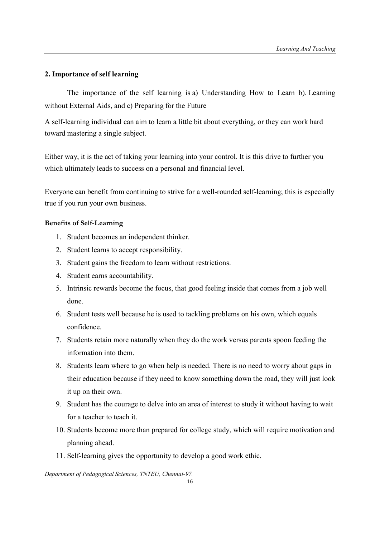# 2. Importance of self learning

 The importance of the self learning is a) Understanding How to Learn b). Learning without External Aids, and c) Preparing for the Future

A self-learning individual can aim to learn a little bit about everything, or they can work hard toward mastering a single subject.

Either way, it is the act of taking your learning into your control. It is this drive to further you which ultimately leads to success on a personal and financial level.

Everyone can benefit from continuing to strive for a well-rounded self-learning; this is especially true if you run your own business.

## Benefits of Self-Learning

- 1. Student becomes an independent thinker.
- 2. Student learns to accept responsibility.
- 3. Student gains the freedom to learn without restrictions.
- 4. Student earns accountability.
- 5. Intrinsic rewards become the focus, that good feeling inside that comes from a job well done.
- 6. Student tests well because he is used to tackling problems on his own, which equals confidence.
- 7. Students retain more naturally when they do the work versus parents spoon feeding the information into them.
- 8. Students learn where to go when help is needed. There is no need to worry about gaps in their education because if they need to know something down the road, they will just look it up on their own.
- 9. Student has the courage to delve into an area of interest to study it without having to wait for a teacher to teach it.
- 10. Students become more than prepared for college study, which will require motivation and planning ahead.
- 11. Self-learning gives the opportunity to develop a good work ethic.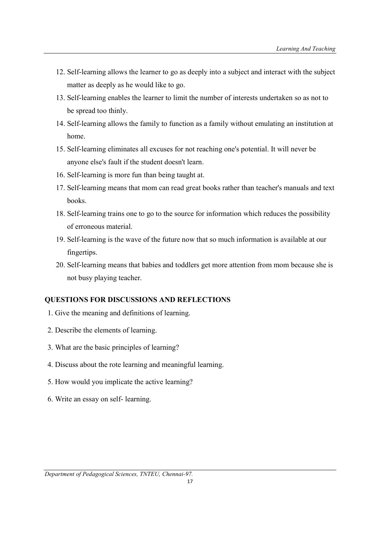- 12. Self-learning allows the learner to go as deeply into a subject and interact with the subject matter as deeply as he would like to go.
- 13. Self-learning enables the learner to limit the number of interests undertaken so as not to be spread too thinly.
- 14. Self-learning allows the family to function as a family without emulating an institution at home.
- 15. Self-learning eliminates all excuses for not reaching one's potential. It will never be anyone else's fault if the student doesn't learn.
- 16. Self-learning is more fun than being taught at.
- 17. Self-learning means that mom can read great books rather than teacher's manuals and text books.
- 18. Self-learning trains one to go to the source for information which reduces the possibility of erroneous material.
- 19. Self-learning is the wave of the future now that so much information is available at our fingertips.
- 20. Self-learning means that babies and toddlers get more attention from mom because she is not busy playing teacher.

# QUESTIONS FOR DISCUSSIONS AND REFLECTIONS

- 1. Give the meaning and definitions of learning.
- 2. Describe the elements of learning.
- 3. What are the basic principles of learning?
- 4. Discuss about the rote learning and meaningful learning.
- 5. How would you implicate the active learning?
- 6. Write an essay on self- learning.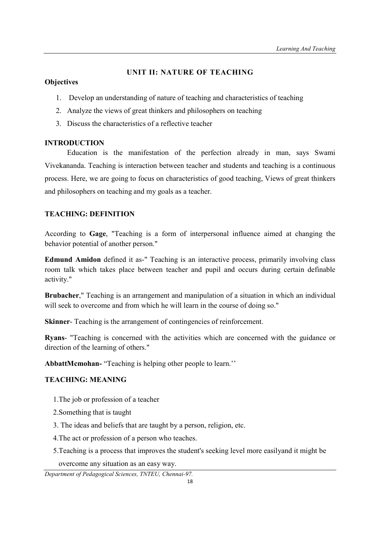# UNIT II: NATURE OF TEACHING

# **Objectives**

- 1. Develop an understanding of nature of teaching and characteristics of teaching
- 2. Analyze the views of great thinkers and philosophers on teaching
- 3. Discuss the characteristics of a reflective teacher

# INTRODUCTION

 Education is the manifestation of the perfection already in man, says Swami Vivekananda. Teaching is interaction between teacher and students and teaching is a continuous process. Here, we are going to focus on characteristics of good teaching, Views of great thinkers and philosophers on teaching and my goals as a teacher.

# TEACHING: DEFINITION

According to Gage, "Teaching is a form of interpersonal influence aimed at changing the behavior potential of another person."

Edmund Amidon defined it as-" Teaching is an interactive process, primarily involving class room talk which takes place between teacher and pupil and occurs during certain definable activity."

Brubacher," Teaching is an arrangement and manipulation of a situation in which an individual will seek to overcome and from which he will learn in the course of doing so."

Skinner- Teaching is the arrangement of contingencies of reinforcement.

Ryans- "Teaching is concerned with the activities which are concerned with the guidance or direction of the learning of others."

AbbattMcmohan- "Teaching is helping other people to learn.''

# TEACHING: MEANING

- 1.The job or profession of a teacher
- 2.Something that is taught
- 3. The ideas and beliefs that are taught by a person, religion, etc.
- 4.The act or profession of a person who teaches.
- 5.Teaching is a process that improves the student's seeking level more easilyand it might be

overcome any situation as an easy way.

Department of Pedagogical Sciences, TNTEU, Chennai-97.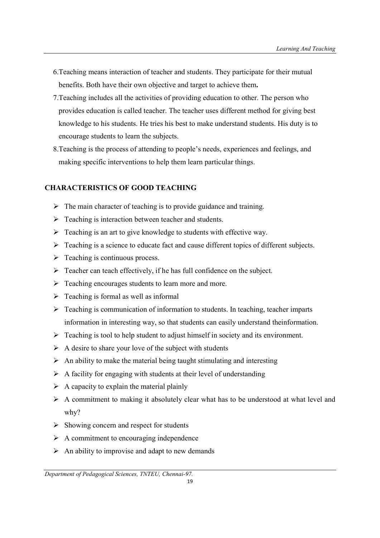- 6.Teaching means interaction of teacher and students. They participate for their mutual benefits. Both have their own objective and target to achieve them.
- 7.Teaching includes all the activities of providing education to other. The person who provides education is called teacher. The teacher uses different method for giving best knowledge to his students. He tries his best to make understand students. His duty is to encourage students to learn the subjects.
- 8.Teaching is the process of attending to people's needs, experiences and feelings, and making specific interventions to help them learn particular things.

# CHARACTERISTICS OF GOOD TEACHING

- $\triangleright$  The main character of teaching is to provide guidance and training.
- $\triangleright$  Teaching is interaction between teacher and students.
- $\triangleright$  Teaching is an art to give knowledge to students with effective way.
- $\triangleright$  Teaching is a science to educate fact and cause different topics of different subjects.
- $\triangleright$  Teaching is continuous process.
- $\triangleright$  Teacher can teach effectively, if he has full confidence on the subject.
- $\triangleright$  Teaching encourages students to learn more and more.
- $\triangleright$  Teaching is formal as well as informal
- $\triangleright$  Teaching is communication of information to students. In teaching, teacher imparts information in interesting way, so that students can easily understand theinformation.
- $\triangleright$  Teaching is tool to help student to adjust himself in society and its environment.
- $\triangleright$  A desire to share your love of the subject with students
- $\triangleright$  An ability to make the material being taught stimulating and interesting
- $\triangleright$  A facility for engaging with students at their level of understanding
- $\triangleright$  A capacity to explain the material plainly
- $\triangleright$  A commitment to making it absolutely clear what has to be understood at what level and why?
- $\triangleright$  Showing concern and respect for students
- $\triangleright$  A commitment to encouraging independence
- $\triangleright$  An ability to improvise and adapt to new demands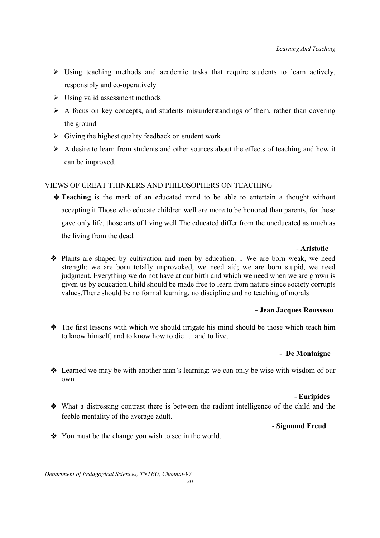- $\triangleright$  Using teaching methods and academic tasks that require students to learn actively, responsibly and co-operatively
- $\triangleright$  Using valid assessment methods
- $\triangleright$  A focus on key concepts, and students misunderstandings of them, rather than covering the ground
- $\triangleright$  Giving the highest quality feedback on student work
- $\triangleright$  A desire to learn from students and other sources about the effects of teaching and how it can be improved.

# VIEWS OF GREAT THINKERS AND PHILOSOPHERS ON TEACHING

◆ Teaching is the mark of an educated mind to be able to entertain a thought without accepting it.Those who educate children well are more to be honored than parents, for these gave only life, those arts of living well.The educated differ from the uneducated as much as the living from the dead.

## - Aristotle

 Plants are shaped by cultivation and men by education. .. We are born weak, we need strength; we are born totally unprovoked, we need aid; we are born stupid, we need judgment. Everything we do not have at our birth and which we need when we are grown is given us by education.Child should be made free to learn from nature since society corrupts values.There should be no formal learning, no discipline and no teaching of morals

## - Jean Jacques Rousseau

 The first lessons with which we should irrigate his mind should be those which teach him to know himself, and to know how to die … and to live.

## - De Montaigne

 Learned we may be with another man's learning: we can only be wise with wisdom of our own

## - Euripides

 What a distressing contrast there is between the radiant intelligence of the child and the feeble mentality of the average adult.

# - Sigmund Freud

◆ You must be the change you wish to see in the world.

Department of Pedagogical Sciences, TNTEU, Chennai-97.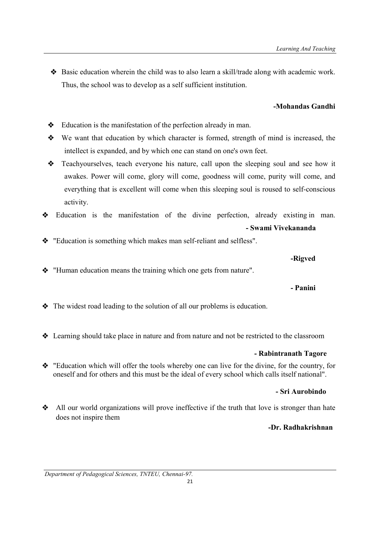Basic education wherein the child was to also learn a skill/trade along with academic work. Thus, the school was to develop as a self sufficient institution.

# -Mohandas Gandhi

- Education is the manifestation of the perfection already in man.
- $\bullet$  We want that education by which character is formed, strength of mind is increased, the intellect is expanded, and by which one can stand on one's own feet.
- Teachyourselves, teach everyone his nature, call upon the sleeping soul and see how it awakes. Power will come, glory will come, goodness will come, purity will come, and everything that is excellent will come when this sleeping soul is roused to self-conscious activity.
- Education is the manifestation of the divine perfection, already existing in man. - Swami Vivekananda
- "Education is something which makes man self-reliant and selfless".
- 
- "Human education means the training which one gets from nature".

## - Panini

-Rigved

- $\triangle$  The widest road leading to the solution of all our problems is education.
- Learning should take place in nature and from nature and not be restricted to the classroom

# - Rabintranath Tagore

 "Education which will offer the tools whereby one can live for the divine, for the country, for oneself and for others and this must be the ideal of every school which calls itself national".

# - Sri Aurobindo

 All our world organizations will prove ineffective if the truth that love is stronger than hate does not inspire them

# -Dr. Radhakrishnan

Department of Pedagogical Sciences, TNTEU, Chennai-97.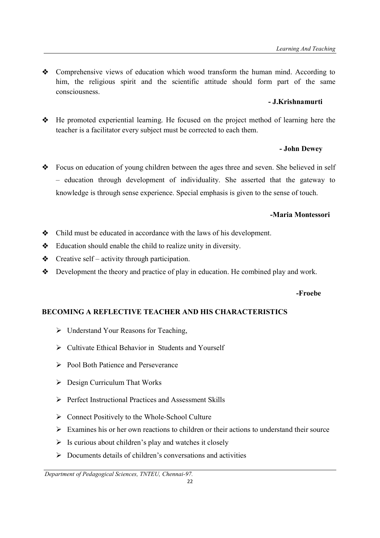Comprehensive views of education which wood transform the human mind. According to him, the religious spirit and the scientific attitude should form part of the same consciousness.

# - J.Krishnamurti

 He promoted experiential learning. He focused on the project method of learning here the teacher is a facilitator every subject must be corrected to each them.

# - John Dewey

 Focus on education of young children between the ages three and seven. She believed in self – education through development of individuality. She asserted that the gateway to knowledge is through sense experience. Special emphasis is given to the sense of touch.

# -Maria Montessori

- Child must be educated in accordance with the laws of his development.
- Education should enable the child to realize unity in diversity.
- $\triangleleft$  Creative self activity through participation.
- Development the theory and practice of play in education. He combined play and work.

## -Froebe

# BECOMING A REFLECTIVE TEACHER AND HIS CHARACTERISTICS

- Understand Your Reasons for Teaching,
- $\triangleright$  Cultivate Ethical Behavior in Students and Yourself
- $\triangleright$  Pool Both Patience and Perseverance
- Design Curriculum That Works
- $\triangleright$  Perfect Instructional Practices and Assessment Skills
- $\triangleright$  Connect Positively to the Whole-School Culture
- $\triangleright$  Examines his or her own reactions to children or their actions to understand their source
- $\triangleright$  Is curious about children's play and watches it closely
- $\triangleright$  Documents details of children's conversations and activities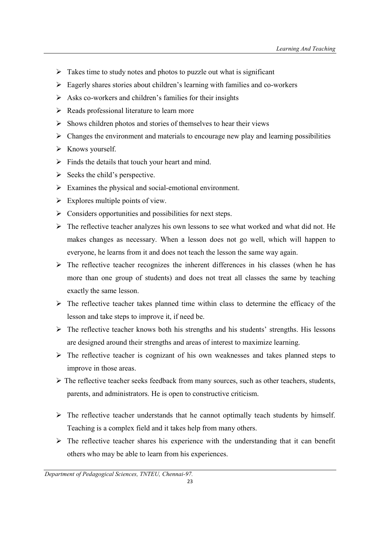- $\triangleright$  Takes time to study notes and photos to puzzle out what is significant
- $\triangleright$  Eagerly shares stories about children's learning with families and co-workers
- $\triangleright$  Asks co-workers and children's families for their insights
- $\triangleright$  Reads professional literature to learn more
- $\triangleright$  Shows children photos and stories of themselves to hear their views
- $\triangleright$  Changes the environment and materials to encourage new play and learning possibilities
- $\triangleright$  Knows yourself.
- $\triangleright$  Finds the details that touch your heart and mind.
- $\triangleright$  Seeks the child's perspective.
- $\triangleright$  Examines the physical and social-emotional environment.
- $\triangleright$  Explores multiple points of view.
- $\triangleright$  Considers opportunities and possibilities for next steps.
- $\triangleright$  The reflective teacher analyzes his own lessons to see what worked and what did not. He makes changes as necessary. When a lesson does not go well, which will happen to everyone, he learns from it and does not teach the lesson the same way again.
- $\triangleright$  The reflective teacher recognizes the inherent differences in his classes (when he has more than one group of students) and does not treat all classes the same by teaching exactly the same lesson.
- $\triangleright$  The reflective teacher takes planned time within class to determine the efficacy of the lesson and take steps to improve it, if need be.
- $\triangleright$  The reflective teacher knows both his strengths and his students' strengths. His lessons are designed around their strengths and areas of interest to maximize learning.
- $\triangleright$  The reflective teacher is cognizant of his own weaknesses and takes planned steps to improve in those areas.
- $\triangleright$  The reflective teacher seeks feedback from many sources, such as other teachers, students, parents, and administrators. He is open to constructive criticism.
- $\triangleright$  The reflective teacher understands that he cannot optimally teach students by himself. Teaching is a complex field and it takes help from many others.
- $\triangleright$  The reflective teacher shares his experience with the understanding that it can benefit others who may be able to learn from his experiences.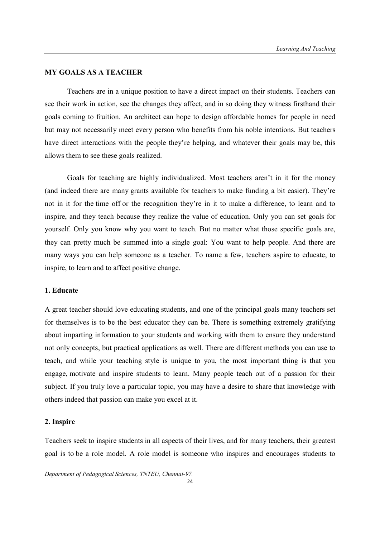### MY GOALS AS A TEACHER

 Teachers are in a unique position to have a direct impact on their students. Teachers can see their work in action, see the changes they affect, and in so doing they witness firsthand their goals coming to fruition. An architect can hope to design affordable homes for people in need but may not necessarily meet every person who benefits from his noble intentions. But teachers have direct interactions with the people they're helping, and whatever their goals may be, this allows them to see these goals realized.

 Goals for teaching are highly individualized. Most teachers aren't in it for the money (and indeed there are many grants available for teachers to make funding a bit easier). They're not in it for the time off or the recognition they're in it to make a difference, to learn and to inspire, and they teach because they realize the value of education. Only you can set goals for yourself. Only you know why you want to teach. But no matter what those specific goals are, they can pretty much be summed into a single goal: You want to help people. And there are many ways you can help someone as a teacher. To name a few, teachers aspire to educate, to inspire, to learn and to affect positive change.

#### 1. Educate

A great teacher should love educating students, and one of the principal goals many teachers set for themselves is to be the best educator they can be. There is something extremely gratifying about imparting information to your students and working with them to ensure they understand not only concepts, but practical applications as well. There are different methods you can use to teach, and while your teaching style is unique to you, the most important thing is that you engage, motivate and inspire students to learn. Many people teach out of a passion for their subject. If you truly love a particular topic, you may have a desire to share that knowledge with others indeed that passion can make you excel at it.

#### 2. Inspire

Teachers seek to inspire students in all aspects of their lives, and for many teachers, their greatest goal is to be a role model. A role model is someone who inspires and encourages students to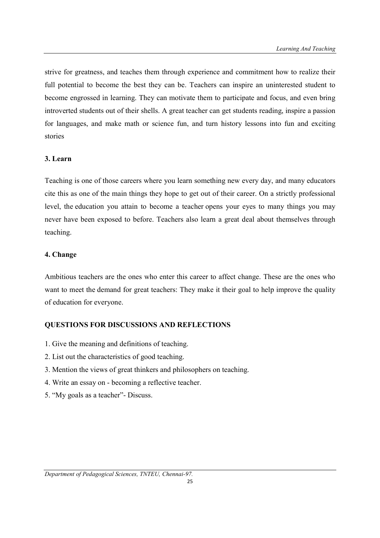strive for greatness, and teaches them through experience and commitment how to realize their full potential to become the best they can be. Teachers can inspire an uninterested student to become engrossed in learning. They can motivate them to participate and focus, and even bring introverted students out of their shells. A great teacher can get students reading, inspire a passion for languages, and make math or science fun, and turn history lessons into fun and exciting stories

# 3. Learn

Teaching is one of those careers where you learn something new every day, and many educators cite this as one of the main things they hope to get out of their career. On a strictly professional level, the education you attain to become a teacher opens your eyes to many things you may never have been exposed to before. Teachers also learn a great deal about themselves through teaching.

# 4. Change

Ambitious teachers are the ones who enter this career to affect change. These are the ones who want to meet the demand for great teachers: They make it their goal to help improve the quality of education for everyone.

# QUESTIONS FOR DISCUSSIONS AND REFLECTIONS

- 1. Give the meaning and definitions of teaching.
- 2. List out the characteristics of good teaching.
- 3. Mention the views of great thinkers and philosophers on teaching.
- 4. Write an essay on becoming a reflective teacher.
- 5. "My goals as a teacher"- Discuss.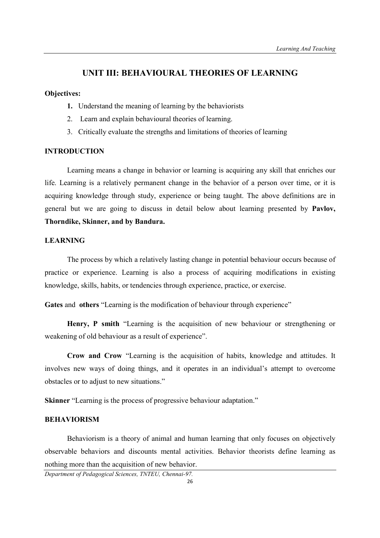# UNIT III: BEHAVIOURAL THEORIES OF LEARNING

#### Objectives:

- 1. Understand the meaning of learning by the behaviorists
- 2. Learn and explain behavioural theories of learning.
- 3. Critically evaluate the strengths and limitations of theories of learning

## INTRODUCTION

 Learning means a change in behavior or learning is acquiring any skill that enriches our life. Learning is a relatively permanent change in the behavior of a person over time, or it is acquiring knowledge through study, experience or being taught. The above definitions are in general but we are going to discuss in detail below about learning presented by Pavlov, Thorndike, Skinner, and by Bandura.

# LEARNING

 The process by which a relatively lasting change in potential behaviour occurs because of practice or experience. Learning is also a process of acquiring modifications in existing knowledge, skills, habits, or tendencies through experience, practice, or exercise.

Gates and others "Learning is the modification of behaviour through experience"

Henry, P smith "Learning is the acquisition of new behaviour or strengthening or weakening of old behaviour as a result of experience".

Crow and Crow "Learning is the acquisition of habits, knowledge and attitudes. It involves new ways of doing things, and it operates in an individual's attempt to overcome obstacles or to adjust to new situations."

Skinner "Learning is the process of progressive behaviour adaptation."

#### BEHAVIORISM

Behaviorism is a theory of animal and human learning that only focuses on objectively observable behaviors and discounts mental activities. Behavior theorists define learning as nothing more than the acquisition of new behavior.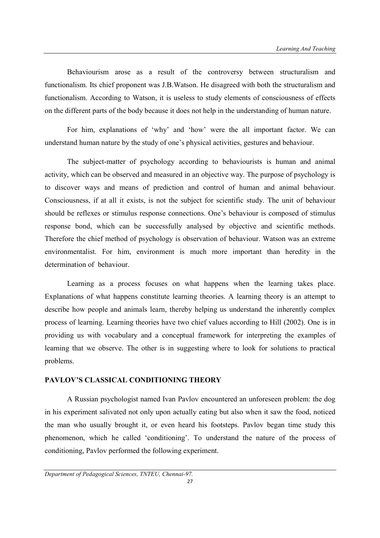Behaviourism arose as a result of the controversy between structuralism and functionalism. Its chief proponent was J.B.Watson. He disagreed with both the structuralism and functionalism. According to Watson, it is useless to study elements of consciousness of effects on the different parts of the body because it does not help in the understanding of human nature.

For him, explanations of 'why' and 'how' were the all important factor. We can understand human nature by the study of one's physical activities, gestures and behaviour.

The subject-matter of psychology according to behaviourists is human and animal activity, which can be observed and measured in an objective way. The purpose of psychology is to discover ways and means of prediction and control of human and animal behaviour. Consciousness, if at all it exists, is not the subject for scientific study. The unit of behaviour should be reflexes or stimulus response connections. One's behaviour is composed of stimulus response bond, which can be successfully analysed by objective and scientific methods. Therefore the chief method of psychology is observation of behaviour. Watson was an extreme environmentalist. For him, environment is much more important than heredity in the determination of behaviour.

Learning as a process focuses on what happens when the learning takes place. Explanations of what happens constitute learning theories. A learning theory is an attempt to describe how people and animals learn, thereby helping us understand the inherently complex process of learning. Learning theories have two chief values according to Hill (2002). One is in providing us with vocabulary and a conceptual framework for interpreting the examples of learning that we observe. The other is in suggesting where to look for solutions to practical problems.

#### PAVLOV'S CLASSICAL CONDITIONING THEORY

A Russian psychologist named Ivan Pavlov encountered an unforeseen problem: the dog in his experiment salivated not only upon actually eating but also when it saw the food, noticed the man who usually brought it, or even heard his footsteps. Pavlov began time study this phenomenon, which he called 'conditioning'. To understand the nature of the process of conditioning, Pavlov performed the following experiment.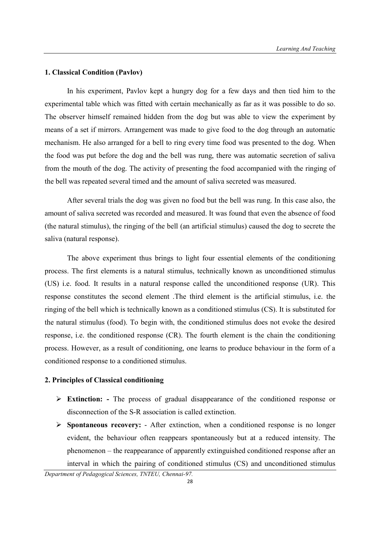#### 1. Classical Condition (Pavlov)

In his experiment, Pavlov kept a hungry dog for a few days and then tied him to the experimental table which was fitted with certain mechanically as far as it was possible to do so. The observer himself remained hidden from the dog but was able to view the experiment by means of a set if mirrors. Arrangement was made to give food to the dog through an automatic mechanism. He also arranged for a bell to ring every time food was presented to the dog. When the food was put before the dog and the bell was rung, there was automatic secretion of saliva from the mouth of the dog. The activity of presenting the food accompanied with the ringing of the bell was repeated several timed and the amount of saliva secreted was measured.

After several trials the dog was given no food but the bell was rung. In this case also, the amount of saliva secreted was recorded and measured. It was found that even the absence of food (the natural stimulus), the ringing of the bell (an artificial stimulus) caused the dog to secrete the saliva (natural response).

The above experiment thus brings to light four essential elements of the conditioning process. The first elements is a natural stimulus, technically known as unconditioned stimulus (US) i.e. food. It results in a natural response called the unconditioned response (UR). This response constitutes the second element .The third element is the artificial stimulus, i.e. the ringing of the bell which is technically known as a conditioned stimulus (CS). It is substituted for the natural stimulus (food). To begin with, the conditioned stimulus does not evoke the desired response, i.e. the conditioned response (CR). The fourth element is the chain the conditioning process. However, as a result of conditioning, one learns to produce behaviour in the form of a conditioned response to a conditioned stimulus.

#### 2. Principles of Classical conditioning

- $\triangleright$  Extinction: The process of gradual disappearance of the conditioned response or disconnection of the S-R association is called extinction.
- $\triangleright$  Spontaneous recovery: After extinction, when a conditioned response is no longer evident, the behaviour often reappears spontaneously but at a reduced intensity. The phenomenon – the reappearance of apparently extinguished conditioned response after an interval in which the pairing of conditioned stimulus (CS) and unconditioned stimulus

Department of Pedagogical Sciences, TNTEU, Chennai-97.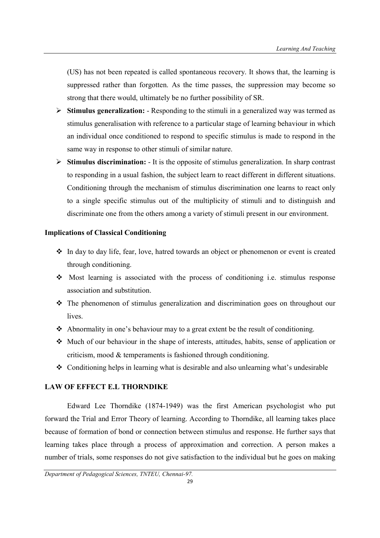(US) has not been repeated is called spontaneous recovery. It shows that, the learning is suppressed rather than forgotten. As the time passes, the suppression may become so strong that there would, ultimately be no further possibility of SR.

- $\triangleright$  Stimulus generalization: Responding to the stimuli in a generalized way was termed as stimulus generalisation with reference to a particular stage of learning behaviour in which an individual once conditioned to respond to specific stimulus is made to respond in the same way in response to other stimuli of similar nature.
- $\triangleright$  Stimulus discrimination: It is the opposite of stimulus generalization. In sharp contrast to responding in a usual fashion, the subject learn to react different in different situations. Conditioning through the mechanism of stimulus discrimination one learns to react only to a single specific stimulus out of the multiplicity of stimuli and to distinguish and discriminate one from the others among a variety of stimuli present in our environment.

# Implications of Classical Conditioning

- In day to day life, fear, love, hatred towards an object or phenomenon or event is created through conditioning.
- Most learning is associated with the process of conditioning i.e. stimulus response association and substitution.
- The phenomenon of stimulus generalization and discrimination goes on throughout our lives.
- Abnormality in one's behaviour may to a great extent be the result of conditioning.
- Much of our behaviour in the shape of interests, attitudes, habits, sense of application or criticism, mood & temperaments is fashioned through conditioning.
- $\triangle$  Conditioning helps in learning what is desirable and also unlearning what's undesirable

# LAW OF EFFECT E.L THORNDIKE

Edward Lee Thorndike (1874-1949) was the first American psychologist who put forward the Trial and Error Theory of learning. According to Thorndike, all learning takes place because of formation of bond or connection between stimulus and response. He further says that learning takes place through a process of approximation and correction. A person makes a number of trials, some responses do not give satisfaction to the individual but he goes on making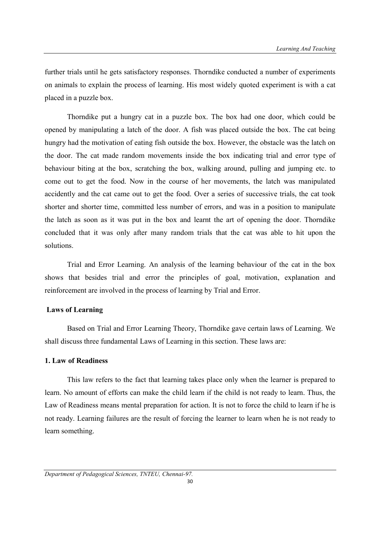further trials until he gets satisfactory responses. Thorndike conducted a number of experiments on animals to explain the process of learning. His most widely quoted experiment is with a cat placed in a puzzle box.

Thorndike put a hungry cat in a puzzle box. The box had one door, which could be opened by manipulating a latch of the door. A fish was placed outside the box. The cat being hungry had the motivation of eating fish outside the box. However, the obstacle was the latch on the door. The cat made random movements inside the box indicating trial and error type of behaviour biting at the box, scratching the box, walking around, pulling and jumping etc. to come out to get the food. Now in the course of her movements, the latch was manipulated accidently and the cat came out to get the food. Over a series of successive trials, the cat took shorter and shorter time, committed less number of errors, and was in a position to manipulate the latch as soon as it was put in the box and learnt the art of opening the door. Thorndike concluded that it was only after many random trials that the cat was able to hit upon the solutions.

Trial and Error Learning. An analysis of the learning behaviour of the cat in the box shows that besides trial and error the principles of goal, motivation, explanation and reinforcement are involved in the process of learning by Trial and Error.

## Laws of Learning

Based on Trial and Error Learning Theory, Thorndike gave certain laws of Learning. We shall discuss three fundamental Laws of Learning in this section. These laws are:

## 1. Law of Readiness

This law refers to the fact that learning takes place only when the learner is prepared to learn. No amount of efforts can make the child learn if the child is not ready to learn. Thus, the Law of Readiness means mental preparation for action. It is not to force the child to learn if he is not ready. Learning failures are the result of forcing the learner to learn when he is not ready to learn something.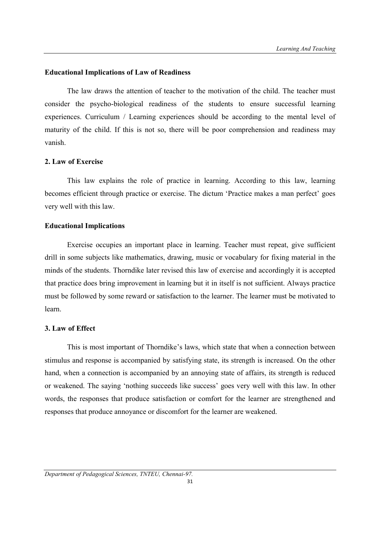## Educational Implications of Law of Readiness

The law draws the attention of teacher to the motivation of the child. The teacher must consider the psycho-biological readiness of the students to ensure successful learning experiences. Curriculum / Learning experiences should be according to the mental level of maturity of the child. If this is not so, there will be poor comprehension and readiness may vanish.

# 2. Law of Exercise

This law explains the role of practice in learning. According to this law, learning becomes efficient through practice or exercise. The dictum 'Practice makes a man perfect' goes very well with this law.

## Educational Implications

Exercise occupies an important place in learning. Teacher must repeat, give sufficient drill in some subjects like mathematics, drawing, music or vocabulary for fixing material in the minds of the students. Thorndike later revised this law of exercise and accordingly it is accepted that practice does bring improvement in learning but it in itself is not sufficient. Always practice must be followed by some reward or satisfaction to the learner. The learner must be motivated to learn.

## 3. Law of Effect

This is most important of Thorndike's laws, which state that when a connection between stimulus and response is accompanied by satisfying state, its strength is increased. On the other hand, when a connection is accompanied by an annoying state of affairs, its strength is reduced or weakened. The saying 'nothing succeeds like success' goes very well with this law. In other words, the responses that produce satisfaction or comfort for the learner are strengthened and responses that produce annoyance or discomfort for the learner are weakened.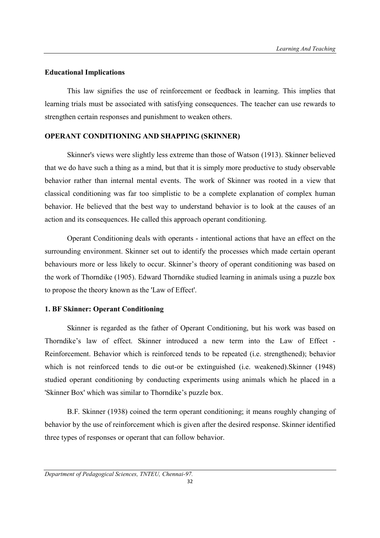## Educational Implications

This law signifies the use of reinforcement or feedback in learning. This implies that learning trials must be associated with satisfying consequences. The teacher can use rewards to strengthen certain responses and punishment to weaken others.

## OPERANT CONDITIONING AND SHAPPING (SKINNER)

Skinner's views were slightly less extreme than those of Watson (1913). Skinner believed that we do have such a thing as a mind, but that it is simply more productive to study observable behavior rather than internal mental events. The work of Skinner was rooted in a view that classical conditioning was far too simplistic to be a complete explanation of complex human behavior. He believed that the best way to understand behavior is to look at the causes of an action and its consequences. He called this approach operant conditioning.

Operant Conditioning deals with operants - intentional actions that have an effect on the surrounding environment. Skinner set out to identify the processes which made certain operant behaviours more or less likely to occur. Skinner's theory of operant conditioning was based on the work of Thorndike (1905). Edward Thorndike studied learning in animals using a puzzle box to propose the theory known as the 'Law of Effect'.

## 1. BF Skinner: Operant Conditioning

Skinner is regarded as the father of Operant Conditioning, but his work was based on Thorndike's law of effect. Skinner introduced a new term into the Law of Effect - Reinforcement. Behavior which is reinforced tends to be repeated (i.e. strengthened); behavior which is not reinforced tends to die out-or be extinguished (i.e. weakened).Skinner (1948) studied operant conditioning by conducting experiments using animals which he placed in a 'Skinner Box' which was similar to Thorndike's puzzle box.

 B.F. Skinner (1938) coined the term operant conditioning; it means roughly changing of behavior by the use of reinforcement which is given after the desired response. Skinner identified three types of responses or operant that can follow behavior.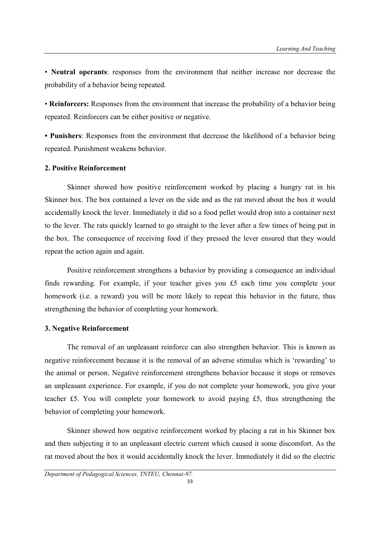• Neutral operants: responses from the environment that neither increase nor decrease the probability of a behavior being repeated.

• Reinforcers: Responses from the environment that increase the probability of a behavior being repeated. Reinforcers can be either positive or negative.

• Punishers: Responses from the environment that decrease the likelihood of a behavior being repeated. Punishment weakens behavior.

#### 2. Positive Reinforcement

Skinner showed how positive reinforcement worked by placing a hungry rat in his Skinner box. The box contained a lever on the side and as the rat moved about the box it would accidentally knock the lever. Immediately it did so a food pellet would drop into a container next to the lever. The rats quickly learned to go straight to the lever after a few times of being put in the box. The consequence of receiving food if they pressed the lever ensured that they would repeat the action again and again.

Positive reinforcement strengthens a behavior by providing a consequence an individual finds rewarding. For example, if your teacher gives you £5 each time you complete your homework (i.e. a reward) you will be more likely to repeat this behavior in the future, thus strengthening the behavior of completing your homework.

#### 3. Negative Reinforcement

The removal of an unpleasant reinforce can also strengthen behavior. This is known as negative reinforcement because it is the removal of an adverse stimulus which is 'rewarding' to the animal or person. Negative reinforcement strengthens behavior because it stops or removes an unpleasant experience. For example, if you do not complete your homework, you give your teacher £5. You will complete your homework to avoid paying £5, thus strengthening the behavior of completing your homework.

Skinner showed how negative reinforcement worked by placing a rat in his Skinner box and then subjecting it to an unpleasant electric current which caused it some discomfort. As the rat moved about the box it would accidentally knock the lever. Immediately it did so the electric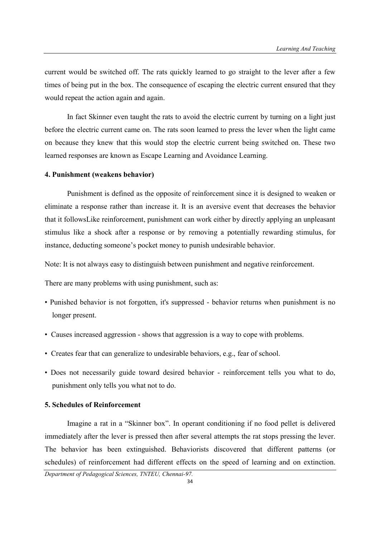current would be switched off. The rats quickly learned to go straight to the lever after a few times of being put in the box. The consequence of escaping the electric current ensured that they would repeat the action again and again.

In fact Skinner even taught the rats to avoid the electric current by turning on a light just before the electric current came on. The rats soon learned to press the lever when the light came on because they knew that this would stop the electric current being switched on. These two learned responses are known as Escape Learning and Avoidance Learning.

#### 4. Punishment (weakens behavior)

Punishment is defined as the opposite of reinforcement since it is designed to weaken or eliminate a response rather than increase it. It is an aversive event that decreases the behavior that it followsLike reinforcement, punishment can work either by directly applying an unpleasant stimulus like a shock after a response or by removing a potentially rewarding stimulus, for instance, deducting someone's pocket money to punish undesirable behavior.

Note: It is not always easy to distinguish between punishment and negative reinforcement.

There are many problems with using punishment, such as:

- Punished behavior is not forgotten, it's suppressed behavior returns when punishment is no longer present.
- Causes increased aggression shows that aggression is a way to cope with problems.
- Creates fear that can generalize to undesirable behaviors, e.g., fear of school.
- Does not necessarily guide toward desired behavior reinforcement tells you what to do, punishment only tells you what not to do.

### 5. Schedules of Reinforcement

Imagine a rat in a "Skinner box". In operant conditioning if no food pellet is delivered immediately after the lever is pressed then after several attempts the rat stops pressing the lever. The behavior has been extinguished. Behaviorists discovered that different patterns (or schedules) of reinforcement had different effects on the speed of learning and on extinction.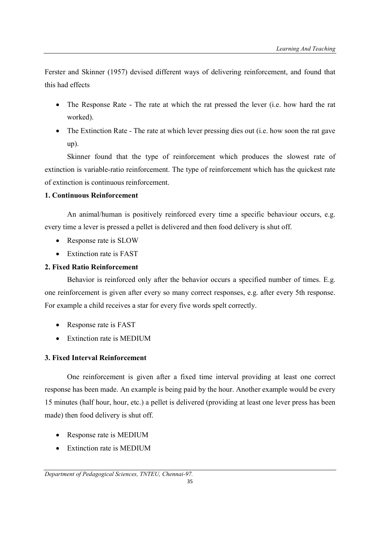Ferster and Skinner (1957) devised different ways of delivering reinforcement, and found that this had effects

- The Response Rate The rate at which the rat pressed the lever (i.e. how hard the rat worked).
- The Extinction Rate The rate at which lever pressing dies out (i.e. how soon the rat gave up).

 Skinner found that the type of reinforcement which produces the slowest rate of extinction is variable-ratio reinforcement. The type of reinforcement which has the quickest rate of extinction is continuous reinforcement.

# 1. Continuous Reinforcement

An animal/human is positively reinforced every time a specific behaviour occurs, e.g. every time a lever is pressed a pellet is delivered and then food delivery is shut off.

- Response rate is SLOW
- Extinction rate is FAST

# 2. Fixed Ratio Reinforcement

Behavior is reinforced only after the behavior occurs a specified number of times. E.g. one reinforcement is given after every so many correct responses, e.g. after every 5th response. For example a child receives a star for every five words spelt correctly.

- Response rate is FAST
- Extinction rate is MEDIUM

# 3. Fixed Interval Reinforcement

One reinforcement is given after a fixed time interval providing at least one correct response has been made. An example is being paid by the hour. Another example would be every 15 minutes (half hour, hour, etc.) a pellet is delivered (providing at least one lever press has been made) then food delivery is shut off.

- Response rate is MEDIUM
- Extinction rate is MEDIUM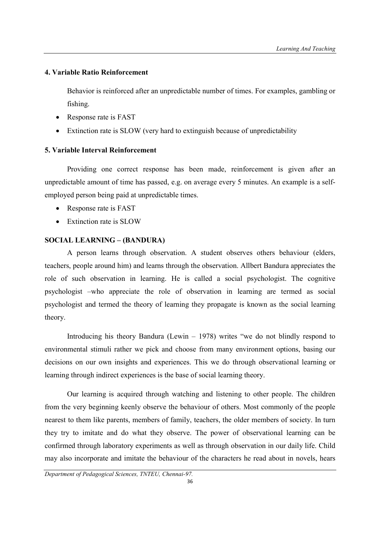## 4. Variable Ratio Reinforcement

Behavior is reinforced after an unpredictable number of times. For examples, gambling or fishing.

- Response rate is FAST
- Extinction rate is SLOW (very hard to extinguish because of unpredictability

# 5. Variable Interval Reinforcement

Providing one correct response has been made, reinforcement is given after an unpredictable amount of time has passed, e.g. on average every 5 minutes. An example is a selfemployed person being paid at unpredictable times.

- Response rate is FAST
- Extinction rate is SLOW

# SOCIAL LEARNING – (BANDURA)

A person learns through observation. A student observes others behaviour (elders, teachers, people around him) and learns through the observation. Allbert Bandura appreciates the role of such observation in learning. He is called a social psychologist. The cognitive psychologist –who appreciate the role of observation in learning are termed as social psychologist and termed the theory of learning they propagate is known as the social learning theory.

 Introducing his theory Bandura (Lewin – 1978) writes "we do not blindly respond to environmental stimuli rather we pick and choose from many environment options, basing our decisions on our own insights and experiences. This we do through observational learning or learning through indirect experiences is the base of social learning theory.

Our learning is acquired through watching and listening to other people. The children from the very beginning keenly observe the behaviour of others. Most commonly of the people nearest to them like parents, members of family, teachers, the older members of society. In turn they try to imitate and do what they observe. The power of observational learning can be confirmed through laboratory experiments as well as through observation in our daily life. Child may also incorporate and imitate the behaviour of the characters he read about in novels, hears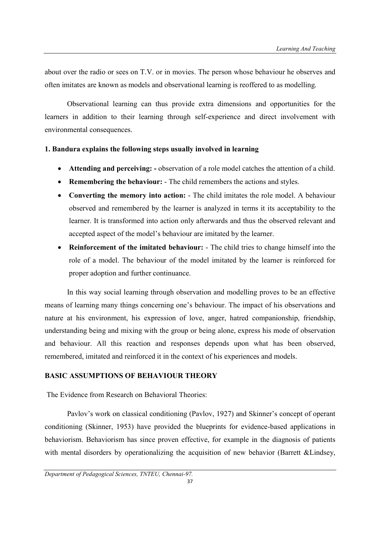about over the radio or sees on T.V. or in movies. The person whose behaviour he observes and often imitates are known as models and observational learning is reoffered to as modelling.

Observational learning can thus provide extra dimensions and opportunities for the learners in addition to their learning through self-experience and direct involvement with environmental consequences.

# 1. Bandura explains the following steps usually involved in learning

- Attending and perceiving: observation of a role model catches the attention of a child.
- Remembering the behaviour: The child remembers the actions and styles.
- Converting the memory into action: The child imitates the role model. A behaviour observed and remembered by the learner is analyzed in terms it its acceptability to the learner. It is transformed into action only afterwards and thus the observed relevant and accepted aspect of the model's behaviour are imitated by the learner.
- Reinforcement of the imitated behaviour: The child tries to change himself into the role of a model. The behaviour of the model imitated by the learner is reinforced for proper adoption and further continuance.

In this way social learning through observation and modelling proves to be an effective means of learning many things concerning one's behaviour. The impact of his observations and nature at his environment, his expression of love, anger, hatred companionship, friendship, understanding being and mixing with the group or being alone, express his mode of observation and behaviour. All this reaction and responses depends upon what has been observed, remembered, imitated and reinforced it in the context of his experiences and models.

# BASIC ASSUMPTIONS OF BEHAVIOUR THEORY

The Evidence from Research on Behavioral Theories:

Pavlov's work on classical conditioning (Pavlov, 1927) and Skinner's concept of operant conditioning (Skinner, 1953) have provided the blueprints for evidence-based applications in behaviorism. Behaviorism has since proven effective, for example in the diagnosis of patients with mental disorders by operationalizing the acquisition of new behavior (Barrett &Lindsey,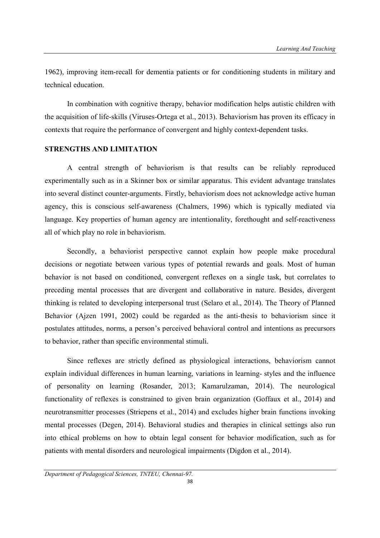1962), improving item-recall for dementia patients or for conditioning students in military and technical education.

In combination with cognitive therapy, behavior modification helps autistic children with the acquisition of life-skills (Viruses-Ortega et al., 2013). Behaviorism has proven its efficacy in contexts that require the performance of convergent and highly context-dependent tasks.

#### STRENGTHS AND LIMITATION

A central strength of behaviorism is that results can be reliably reproduced experimentally such as in a Skinner box or similar apparatus. This evident advantage translates into several distinct counter-arguments. Firstly, behaviorism does not acknowledge active human agency, this is conscious self-awareness (Chalmers, 1996) which is typically mediated via language. Key properties of human agency are intentionality, forethought and self-reactiveness all of which play no role in behaviorism.

Secondly, a behaviorist perspective cannot explain how people make procedural decisions or negotiate between various types of potential rewards and goals. Most of human behavior is not based on conditioned, convergent reflexes on a single task, but correlates to preceding mental processes that are divergent and collaborative in nature. Besides, divergent thinking is related to developing interpersonal trust (Selaro et al., 2014). The Theory of Planned Behavior (Ajzen 1991, 2002) could be regarded as the anti-thesis to behaviorism since it postulates attitudes, norms, a person's perceived behavioral control and intentions as precursors to behavior, rather than specific environmental stimuli.

Since reflexes are strictly defined as physiological interactions, behaviorism cannot explain individual differences in human learning, variations in learning- styles and the influence of personality on learning (Rosander, 2013; Kamarulzaman, 2014). The neurological functionality of reflexes is constrained to given brain organization (Goffaux et al., 2014) and neurotransmitter processes (Striepens et al., 2014) and excludes higher brain functions invoking mental processes (Degen, 2014). Behavioral studies and therapies in clinical settings also run into ethical problems on how to obtain legal consent for behavior modification, such as for patients with mental disorders and neurological impairments (Digdon et al., 2014).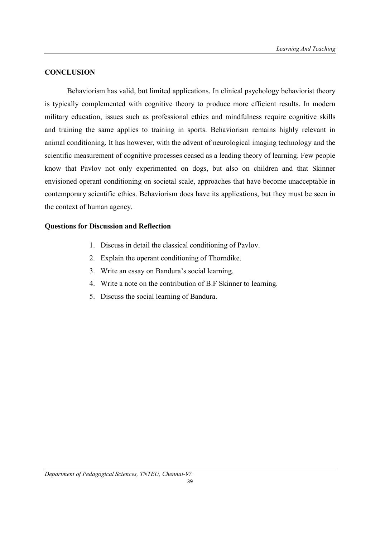## **CONCLUSION**

Behaviorism has valid, but limited applications. In clinical psychology behaviorist theory is typically complemented with cognitive theory to produce more efficient results. In modern military education, issues such as professional ethics and mindfulness require cognitive skills and training the same applies to training in sports. Behaviorism remains highly relevant in animal conditioning. It has however, with the advent of neurological imaging technology and the scientific measurement of cognitive processes ceased as a leading theory of learning. Few people know that Pavlov not only experimented on dogs, but also on children and that Skinner envisioned operant conditioning on societal scale, approaches that have become unacceptable in contemporary scientific ethics. Behaviorism does have its applications, but they must be seen in the context of human agency.

# Questions for Discussion and Reflection

- 1. Discuss in detail the classical conditioning of Pavlov.
- 2. Explain the operant conditioning of Thorndike.
- 3. Write an essay on Bandura's social learning.
- 4. Write a note on the contribution of B.F Skinner to learning.
- 5. Discuss the social learning of Bandura.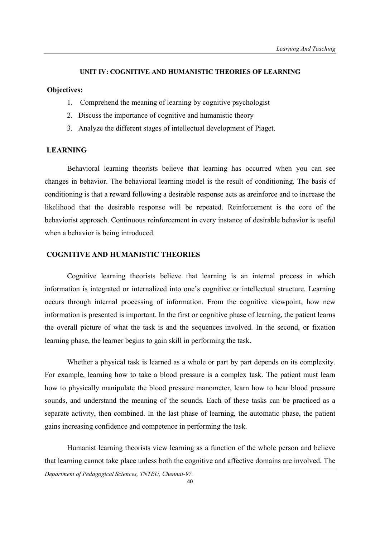#### UNIT IV: COGNITIVE AND HUMANISTIC THEORIES OF LEARNING

#### Objectives:

- 1. Comprehend the meaning of learning by cognitive psychologist
- 2. Discuss the importance of cognitive and humanistic theory
- 3. Analyze the different stages of intellectual development of Piaget.

#### LEARNING

Behavioral learning theorists believe that learning has occurred when you can see changes in behavior. The behavioral learning model is the result of conditioning. The basis of conditioning is that a reward following a desirable response acts as areinforce and to increase the likelihood that the desirable response will be repeated. Reinforcement is the core of the behaviorist approach. Continuous reinforcement in every instance of desirable behavior is useful when a behavior is being introduced.

#### COGNITIVE AND HUMANISTIC THEORIES

Cognitive learning theorists believe that learning is an internal process in which information is integrated or internalized into one's cognitive or intellectual structure. Learning occurs through internal processing of information. From the cognitive viewpoint, how new information is presented is important. In the first or cognitive phase of learning, the patient learns the overall picture of what the task is and the sequences involved. In the second, or fixation learning phase, the learner begins to gain skill in performing the task.

Whether a physical task is learned as a whole or part by part depends on its complexity. For example, learning how to take a blood pressure is a complex task. The patient must learn how to physically manipulate the blood pressure manometer, learn how to hear blood pressure sounds, and understand the meaning of the sounds. Each of these tasks can be practiced as a separate activity, then combined. In the last phase of learning, the automatic phase, the patient gains increasing confidence and competence in performing the task.

Humanist learning theorists view learning as a function of the whole person and believe that learning cannot take place unless both the cognitive and affective domains are involved. The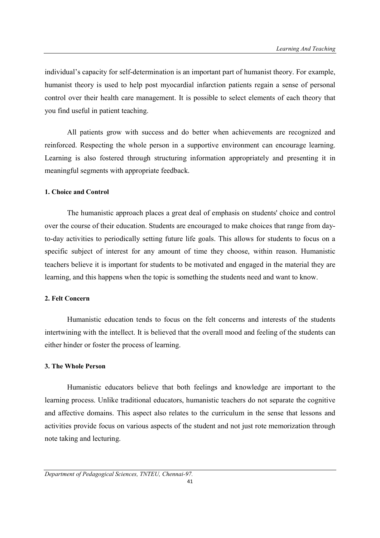individual's capacity for self-determination is an important part of humanist theory. For example, humanist theory is used to help post myocardial infarction patients regain a sense of personal control over their health care management. It is possible to select elements of each theory that you find useful in patient teaching.

All patients grow with success and do better when achievements are recognized and reinforced. Respecting the whole person in a supportive environment can encourage learning. Learning is also fostered through structuring information appropriately and presenting it in meaningful segments with appropriate feedback.

## 1. Choice and Control

The humanistic approach places a great deal of emphasis on students' choice and control over the course of their education. Students are encouraged to make choices that range from dayto-day activities to periodically setting future life goals. This allows for students to focus on a specific subject of interest for any amount of time they choose, within reason. Humanistic teachers believe it is important for students to be motivated and engaged in the material they are learning, and this happens when the topic is something the students need and want to know.

## 2. Felt Concern

Humanistic education tends to focus on the felt concerns and interests of the students intertwining with the intellect. It is believed that the overall mood and feeling of the students can either hinder or foster the process of learning.

## 3. The Whole Person

Humanistic educators believe that both feelings and knowledge are important to the learning process. Unlike traditional educators, humanistic teachers do not separate the cognitive and affective domains. This aspect also relates to the curriculum in the sense that lessons and activities provide focus on various aspects of the student and not just rote memorization through note taking and lecturing.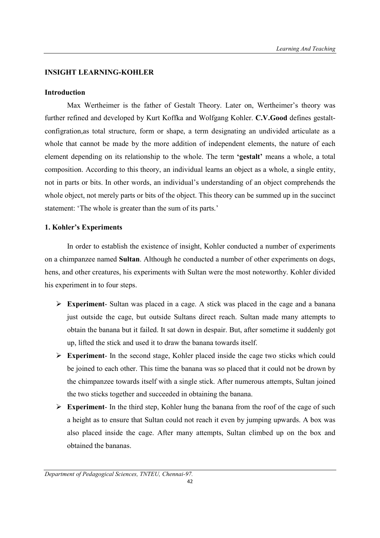# INSIGHT LEARNING-KOHLER

## Introduction

Max Wertheimer is the father of Gestalt Theory. Later on, Wertheimer's theory was further refined and developed by Kurt Koffka and Wolfgang Kohler. C.V.Good defines gestaltconfigration,as total structure, form or shape, a term designating an undivided articulate as a whole that cannot be made by the more addition of independent elements, the nature of each element depending on its relationship to the whole. The term 'gestalt' means a whole, a total composition. According to this theory, an individual learns an object as a whole, a single entity, not in parts or bits. In other words, an individual's understanding of an object comprehends the whole object, not merely parts or bits of the object. This theory can be summed up in the succinct statement: 'The whole is greater than the sum of its parts.'

# 1. Kohler's Experiments

In order to establish the existence of insight, Kohler conducted a number of experiments on a chimpanzee named Sultan. Although he conducted a number of other experiments on dogs, hens, and other creatures, his experiments with Sultan were the most noteworthy. Kohler divided his experiment in to four steps.

- $\triangleright$  **Experiment-** Sultan was placed in a cage. A stick was placed in the cage and a banana just outside the cage, but outside Sultans direct reach. Sultan made many attempts to obtain the banana but it failed. It sat down in despair. But, after sometime it suddenly got up, lifted the stick and used it to draw the banana towards itself.
- $\triangleright$  Experiment- In the second stage, Kohler placed inside the cage two sticks which could be joined to each other. This time the banana was so placed that it could not be drown by the chimpanzee towards itself with a single stick. After numerous attempts, Sultan joined the two sticks together and succeeded in obtaining the banana.
- $\triangleright$  **Experiment** In the third step, Kohler hung the banana from the roof of the cage of such a height as to ensure that Sultan could not reach it even by jumping upwards. A box was also placed inside the cage. After many attempts, Sultan climbed up on the box and obtained the bananas.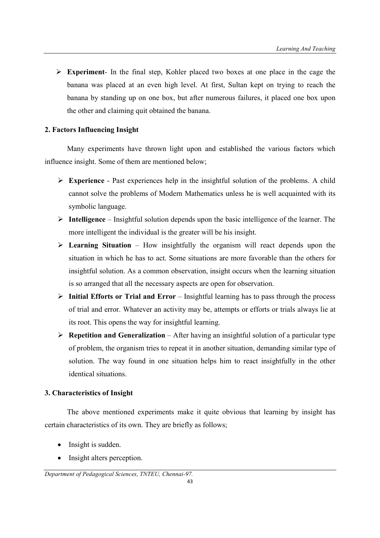$\triangleright$  Experiment- In the final step, Kohler placed two boxes at one place in the cage the banana was placed at an even high level. At first, Sultan kept on trying to reach the banana by standing up on one box, but after numerous failures, it placed one box upon the other and claiming quit obtained the banana.

## 2. Factors Influencing Insight

Many experiments have thrown light upon and established the various factors which influence insight. Some of them are mentioned below;

- Experience Past experiences help in the insightful solution of the problems. A child cannot solve the problems of Modern Mathematics unless he is well acquainted with its symbolic language.
- $\triangleright$  Intelligence Insightful solution depends upon the basic intelligence of the learner. The more intelligent the individual is the greater will be his insight.
- $\triangleright$  Learning Situation How insightfully the organism will react depends upon the situation in which he has to act. Some situations are more favorable than the others for insightful solution. As a common observation, insight occurs when the learning situation is so arranged that all the necessary aspects are open for observation.
- $\triangleright$  Initial Efforts or Trial and Error Insightful learning has to pass through the process of trial and error. Whatever an activity may be, attempts or efforts or trials always lie at its root. This opens the way for insightful learning.
- $\triangleright$  Repetition and Generalization After having an insightful solution of a particular type of problem, the organism tries to repeat it in another situation, demanding similar type of solution. The way found in one situation helps him to react insightfully in the other identical situations.

## 3. Characteristics of Insight

The above mentioned experiments make it quite obvious that learning by insight has certain characteristics of its own. They are briefly as follows;

- Insight is sudden.
- Insight alters perception.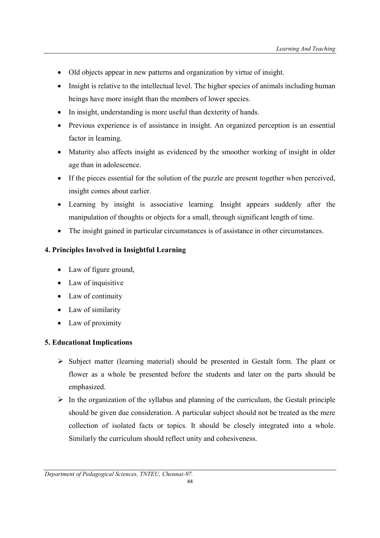- Old objects appear in new patterns and organization by virtue of insight.
- Insight is relative to the intellectual level. The higher species of animals including human beings have more insight than the members of lower species.
- In insight, understanding is more useful than dexterity of hands.
- Previous experience is of assistance in insight. An organized perception is an essential factor in learning.
- Maturity also affects insight as evidenced by the smoother working of insight in older age than in adolescence.
- If the pieces essential for the solution of the puzzle are present together when perceived, insight comes about earlier.
- Learning by insight is associative learning. Insight appears suddenly after the manipulation of thoughts or objects for a small, through significant length of time.
- The insight gained in particular circumstances is of assistance in other circumstances.

# 4. Principles Involved in Insightful Learning

- Law of figure ground,
- Law of inquisitive
- Law of continuity
- Law of similarity
- Law of proximity

# 5. Educational Implications

- $\triangleright$  Subject matter (learning material) should be presented in Gestalt form. The plant or flower as a whole be presented before the students and later on the parts should be emphasized.
- $\triangleright$  In the organization of the syllabus and planning of the curriculum, the Gestalt principle should be given due consideration. A particular subject should not be treated as the mere collection of isolated facts or topics. It should be closely integrated into a whole. Similarly the curriculum should reflect unity and cohesiveness.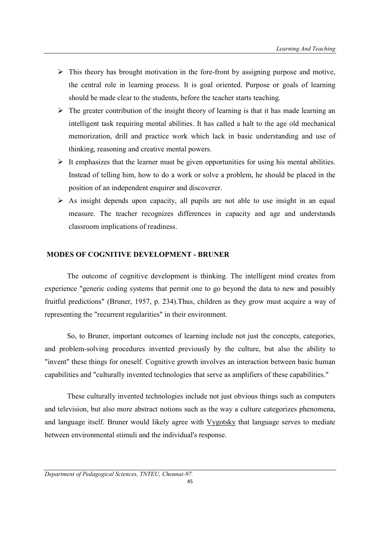- $\triangleright$  This theory has brought motivation in the fore-front by assigning purpose and motive, the central role in learning process. It is goal oriented. Purpose or goals of learning should be made clear to the students, before the teacher starts teaching.
- $\triangleright$  The greater contribution of the insight theory of learning is that it has made learning an intelligent task requiring mental abilities. It has called a halt to the age old mechanical memorization, drill and practice work which lack in basic understanding and use of thinking, reasoning and creative mental powers.
- $\triangleright$  It emphasizes that the learner must be given opportunities for using his mental abilities. Instead of telling him, how to do a work or solve a problem, he should be placed in the position of an independent enquirer and discoverer.
- $\triangleright$  As insight depends upon capacity, all pupils are not able to use insight in an equal measure. The teacher recognizes differences in capacity and age and understands classroom implications of readiness.

# MODES OF COGNITIVE DEVELOPMENT - BRUNER

The outcome of cognitive development is thinking. The intelligent mind creates from experience "generic coding systems that permit one to go beyond the data to new and possibly fruitful predictions" (Bruner, 1957, p. 234).Thus, children as they grow must acquire a way of representing the "recurrent regularities" in their environment.

So, to Bruner, important outcomes of learning include not just the concepts, categories, and problem-solving procedures invented previously by the culture, but also the ability to "invent" these things for oneself. Cognitive growth involves an interaction between basic human capabilities and "culturally invented technologies that serve as amplifiers of these capabilities."

These culturally invented technologies include not just obvious things such as computers and television, but also more abstract notions such as the way a culture categorizes phenomena, and language itself. Bruner would likely agree with Vygotsky that language serves to mediate between environmental stimuli and the individual's response.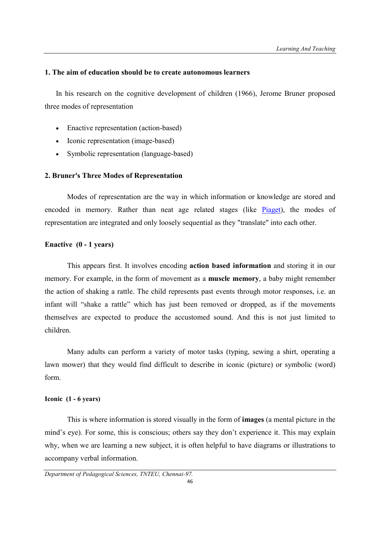#### 1. The aim of education should be to create autonomous learners

In his research on the cognitive development of children (1966), Jerome Bruner proposed three modes of representation

- Enactive representation (action-based)
- Iconic representation (image-based)
- Symbolic representation (language-based)

#### 2. Bruner's Three Modes of Representation

Modes of representation are the way in which information or knowledge are stored and encoded in memory. Rather than neat age related stages (like Piaget), the modes of representation are integrated and only loosely sequential as they "translate" into each other.

#### Enactive (0 - 1 years)

This appears first. It involves encoding action based information and storing it in our memory. For example, in the form of movement as a muscle memory, a baby might remember the action of shaking a rattle. The child represents past events through motor responses, i.e. an infant will "shake a rattle" which has just been removed or dropped, as if the movements themselves are expected to produce the accustomed sound. And this is not just limited to children.

Many adults can perform a variety of motor tasks (typing, sewing a shirt, operating a lawn mower) that they would find difficult to describe in iconic (picture) or symbolic (word) form.

#### Iconic (1 - 6 years)

This is where information is stored visually in the form of images (a mental picture in the mind's eye). For some, this is conscious; others say they don't experience it. This may explain why, when we are learning a new subject, it is often helpful to have diagrams or illustrations to accompany verbal information.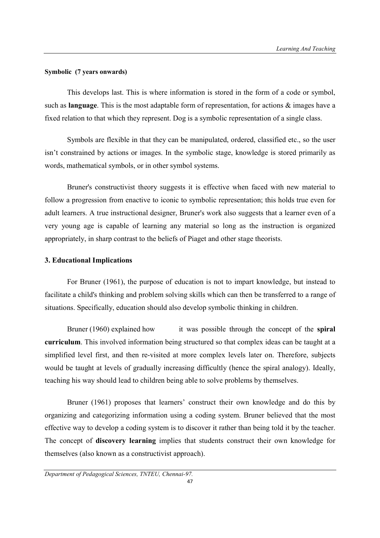## Symbolic (7 years onwards)

This develops last. This is where information is stored in the form of a code or symbol, such as **language**. This is the most adaptable form of representation, for actions  $\&$  images have a fixed relation to that which they represent. Dog is a symbolic representation of a single class.

Symbols are flexible in that they can be manipulated, ordered, classified etc., so the user isn't constrained by actions or images. In the symbolic stage, knowledge is stored primarily as words, mathematical symbols, or in other symbol systems.

Bruner's constructivist theory suggests it is effective when faced with new material to follow a progression from enactive to iconic to symbolic representation; this holds true even for adult learners. A true instructional designer, Bruner's work also suggests that a learner even of a very young age is capable of learning any material so long as the instruction is organized appropriately, in sharp contrast to the beliefs of Piaget and other stage theorists.

## 3. Educational Implications

For Bruner (1961), the purpose of education is not to impart knowledge, but instead to facilitate a child's thinking and problem solving skills which can then be transferred to a range of situations. Specifically, education should also develop symbolic thinking in children.

Bruner (1960) explained how it was possible through the concept of the **spiral** curriculum. This involved information being structured so that complex ideas can be taught at a simplified level first, and then re-visited at more complex levels later on. Therefore, subjects would be taught at levels of gradually increasing difficultly (hence the spiral analogy). Ideally, teaching his way should lead to children being able to solve problems by themselves.

Bruner (1961) proposes that learners' construct their own knowledge and do this by organizing and categorizing information using a coding system. Bruner believed that the most effective way to develop a coding system is to discover it rather than being told it by the teacher. The concept of discovery learning implies that students construct their own knowledge for themselves (also known as a constructivist approach).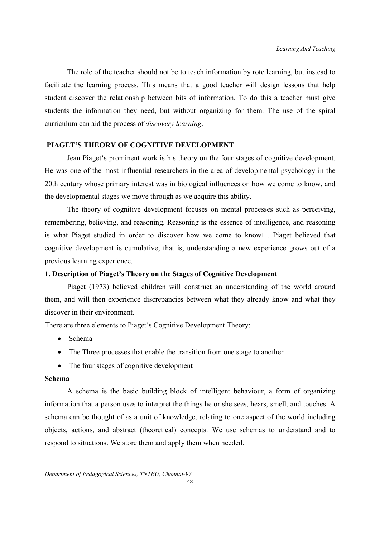The role of the teacher should not be to teach information by rote learning, but instead to facilitate the learning process. This means that a good teacher will design lessons that help student discover the relationship between bits of information. To do this a teacher must give students the information they need, but without organizing for them. The use of the spiral curriculum can aid the process of discovery learning.

## PIAGET'S THEORY OF COGNITIVE DEVELOPMENT

Jean Piaget's prominent work is his theory on the four stages of cognitive development. He was one of the most influential researchers in the area of developmental psychology in the 20th century whose primary interest was in biological influences on how we come to know, and the developmental stages we move through as we acquire this ability.

The theory of cognitive development focuses on mental processes such as perceiving, remembering, believing, and reasoning. Reasoning is the essence of intelligence, and reasoning is what Piaget studied in order to discover how we come to know $\Box$ . Piaget believed that cognitive development is cumulative; that is, understanding a new experience grows out of a previous learning experience.

## 1. Description of Piaget's Theory on the Stages of Cognitive Development

Piaget (1973) believed children will construct an understanding of the world around them, and will then experience discrepancies between what they already know and what they discover in their environment.

There are three elements to Piaget's Cognitive Development Theory:

- Schema
- The Three processes that enable the transition from one stage to another
- The four stages of cognitive development

#### Schema

A schema is the basic building block of intelligent behaviour, a form of organizing information that a person uses to interpret the things he or she sees, hears, smell, and touches. A schema can be thought of as a unit of knowledge, relating to one aspect of the world including objects, actions, and abstract (theoretical) concepts. We use schemas to understand and to respond to situations. We store them and apply them when needed.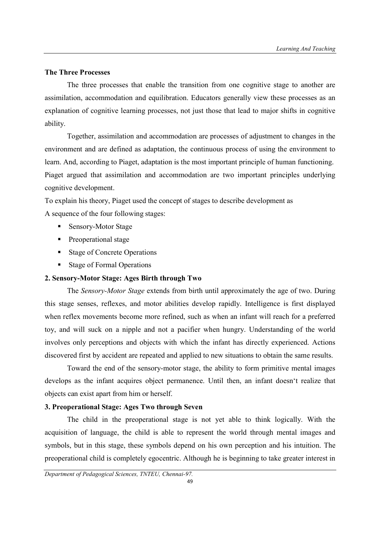## The Three Processes

The three processes that enable the transition from one cognitive stage to another are assimilation, accommodation and equilibration. Educators generally view these processes as an explanation of cognitive learning processes, not just those that lead to major shifts in cognitive ability.

Together, assimilation and accommodation are processes of adjustment to changes in the environment and are defined as adaptation, the continuous process of using the environment to learn. And, according to Piaget, adaptation is the most important principle of human functioning. Piaget argued that assimilation and accommodation are two important principles underlying cognitive development.

To explain his theory, Piaget used the concept of stages to describe development as A sequence of the four following stages:

- Sensory-Motor Stage
- Preoperational stage
- Stage of Concrete Operations
- Stage of Formal Operations

# 2. Sensory-Motor Stage: Ages Birth through Two

The Sensory-Motor Stage extends from birth until approximately the age of two. During this stage senses, reflexes, and motor abilities develop rapidly. Intelligence is first displayed when reflex movements become more refined, such as when an infant will reach for a preferred toy, and will suck on a nipple and not a pacifier when hungry. Understanding of the world involves only perceptions and objects with which the infant has directly experienced. Actions discovered first by accident are repeated and applied to new situations to obtain the same results.

Toward the end of the sensory-motor stage, the ability to form primitive mental images develops as the infant acquires object permanence. Until then, an infant doesn't realize that objects can exist apart from him or herself.

# 3. Preoperational Stage: Ages Two through Seven

The child in the preoperational stage is not yet able to think logically. With the acquisition of language, the child is able to represent the world through mental images and symbols, but in this stage, these symbols depend on his own perception and his intuition. The preoperational child is completely egocentric. Although he is beginning to take greater interest in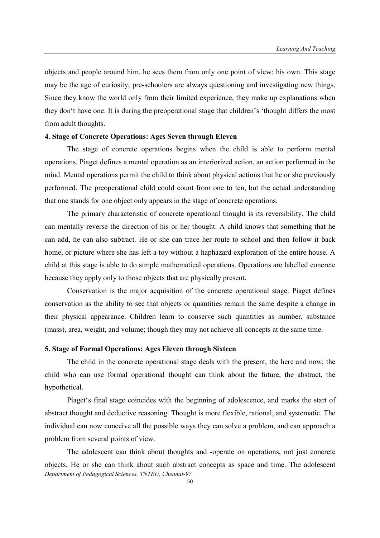objects and people around him, he sees them from only one point of view: his own. This stage may be the age of curiosity; pre-schoolers are always questioning and investigating new things. Since they know the world only from their limited experience, they make up explanations when they don't have one. It is during the preoperational stage that children's 'thought differs the most from adult thoughts.

#### 4. Stage of Concrete Operations: Ages Seven through Eleven

The stage of concrete operations begins when the child is able to perform mental operations. Piaget defines a mental operation as an interiorized action, an action performed in the mind. Mental operations permit the child to think about physical actions that he or she previously performed. The preoperational child could count from one to ten, but the actual understanding that one stands for one object only appears in the stage of concrete operations.

The primary characteristic of concrete operational thought is its reversibility. The child can mentally reverse the direction of his or her thought. A child knows that something that he can add, he can also subtract. He or she can trace her route to school and then follow it back home, or picture where she has left a toy without a haphazard exploration of the entire house. A child at this stage is able to do simple mathematical operations. Operations are labelled concrete because they apply only to those objects that are physically present.

Conservation is the major acquisition of the concrete operational stage. Piaget defines conservation as the ability to see that objects or quantities remain the same despite a change in their physical appearance. Children learn to conserve such quantities as number, substance (mass), area, weight, and volume; though they may not achieve all concepts at the same time.

#### 5. Stage of Formal Operations: Ages Eleven through Sixteen

The child in the concrete operational stage deals with the present, the here and now; the child who can use formal operational thought can think about the future, the abstract, the hypothetical.

Piaget's final stage coincides with the beginning of adolescence, and marks the start of abstract thought and deductive reasoning. Thought is more flexible, rational, and systematic. The individual can now conceive all the possible ways they can solve a problem, and can approach a problem from several points of view.

Department of Pedagogical Sciences, TNTEU, Chennai-97. The adolescent can think about thoughts and -operate on operations, not just concrete objects. He or she can think about such abstract concepts as space and time. The adolescent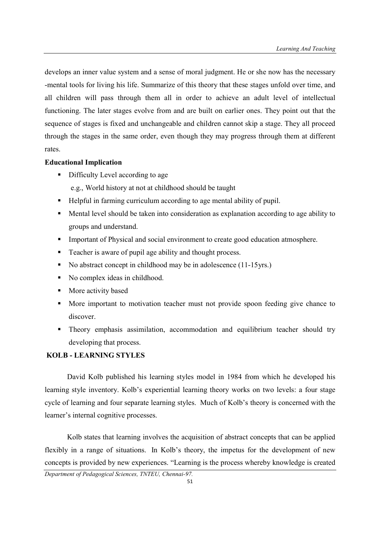develops an inner value system and a sense of moral judgment. He or she now has the necessary -mental tools for living his life. Summarize of this theory that these stages unfold over time, and all children will pass through them all in order to achieve an adult level of intellectual functioning. The later stages evolve from and are built on earlier ones. They point out that the sequence of stages is fixed and unchangeable and children cannot skip a stage. They all proceed through the stages in the same order, even though they may progress through them at different rates.

## Educational Implication

- Difficulty Level according to age
	- e.g., World history at not at childhood should be taught
- Helpful in farming curriculum according to age mental ability of pupil.
- Mental level should be taken into consideration as explanation according to age ability to groups and understand.
- **Important of Physical and social environment to create good education atmosphere.**
- Teacher is aware of pupil age ability and thought process.
- No abstract concept in childhood may be in adolescence (11-15yrs.)
- No complex ideas in childhood.
- More activity based
- More important to motivation teacher must not provide spoon feeding give chance to discover.
- **Theory emphasis assimilation, accommodation and equilibrium teacher should try** developing that process.

# KOLB - LEARNING STYLES

David Kolb published his learning styles model in 1984 from which he developed his learning style inventory. Kolb's experiential learning theory works on two levels: a four stage cycle of learning and four separate learning styles. Much of Kolb's theory is concerned with the learner's internal cognitive processes.

Kolb states that learning involves the acquisition of abstract concepts that can be applied flexibly in a range of situations. In Kolb's theory, the impetus for the development of new concepts is provided by new experiences. "Learning is the process whereby knowledge is created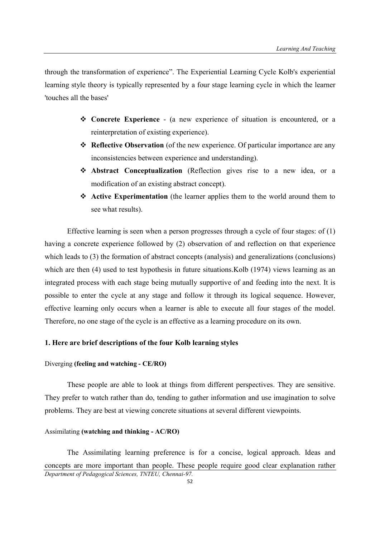through the transformation of experience". The Experiential Learning Cycle Kolb's experiential learning style theory is typically represented by a four stage learning cycle in which the learner 'touches all the bases'

- Concrete Experience (a new experience of situation is encountered, or a reinterpretation of existing experience).
- $\triangle$  Reflective Observation (of the new experience. Of particular importance are any inconsistencies between experience and understanding).
- Abstract Conceptualization (Reflection gives rise to a new idea, or a modification of an existing abstract concept).
- Active Experimentation (the learner applies them to the world around them to see what results).

Effective learning is seen when a person progresses through a cycle of four stages: of (1) having a concrete experience followed by (2) observation of and reflection on that experience which leads to (3) the formation of abstract concepts (analysis) and generalizations (conclusions) which are then (4) used to test hypothesis in future situations. Kolb (1974) views learning as an integrated process with each stage being mutually supportive of and feeding into the next. It is possible to enter the cycle at any stage and follow it through its logical sequence. However, effective learning only occurs when a learner is able to execute all four stages of the model. Therefore, no one stage of the cycle is an effective as a learning procedure on its own.

#### 1. Here are brief descriptions of the four Kolb learning styles

#### Diverging (feeling and watching - CE/RO)

These people are able to look at things from different perspectives. They are sensitive. They prefer to watch rather than do, tending to gather information and use imagination to solve problems. They are best at viewing concrete situations at several different viewpoints.

#### Assimilating (watching and thinking - AC/RO)

Department of Pedagogical Sciences, TNTEU, Chennai-97. The Assimilating learning preference is for a concise, logical approach. Ideas and concepts are more important than people. These people require good clear explanation rather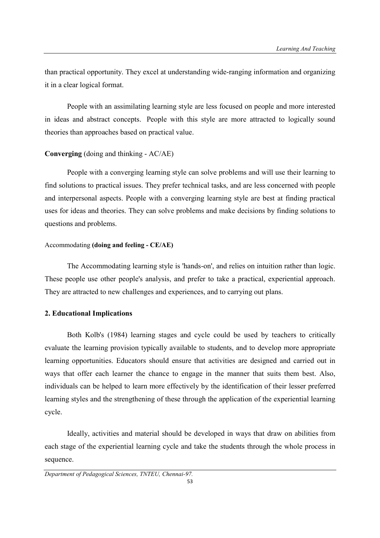than practical opportunity. They excel at understanding wide-ranging information and organizing it in a clear logical format.

People with an assimilating learning style are less focused on people and more interested in ideas and abstract concepts. People with this style are more attracted to logically sound theories than approaches based on practical value.

# Converging (doing and thinking - AC/AE)

People with a converging learning style can solve problems and will use their learning to find solutions to practical issues. They prefer technical tasks, and are less concerned with people and interpersonal aspects. People with a converging learning style are best at finding practical uses for ideas and theories. They can solve problems and make decisions by finding solutions to questions and problems.

## Accommodating (doing and feeling - CE/AE)

The Accommodating learning style is 'hands-on', and relies on intuition rather than logic. These people use other people's analysis, and prefer to take a practical, experiential approach. They are attracted to new challenges and experiences, and to carrying out plans.

## 2. Educational Implications

Both Kolb's (1984) learning stages and cycle could be used by teachers to critically evaluate the learning provision typically available to students, and to develop more appropriate learning opportunities. Educators should ensure that activities are designed and carried out in ways that offer each learner the chance to engage in the manner that suits them best. Also, individuals can be helped to learn more effectively by the identification of their lesser preferred learning styles and the strengthening of these through the application of the experiential learning cycle.

Ideally, activities and material should be developed in ways that draw on abilities from each stage of the experiential learning cycle and take the students through the whole process in sequence.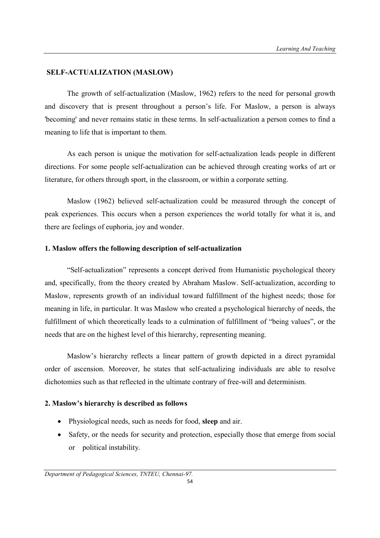# SELF-ACTUALIZATION (MASLOW)

The growth of self-actualization (Maslow, 1962) refers to the need for personal growth and discovery that is present throughout a person's life. For Maslow, a person is always 'becoming' and never remains static in these terms. In self-actualization a person comes to find a meaning to life that is important to them.

As each person is unique the motivation for self-actualization leads people in different directions. For some people self-actualization can be achieved through creating works of art or literature, for others through sport, in the classroom, or within a corporate setting.

Maslow (1962) believed self-actualization could be measured through the concept of peak experiences. This occurs when a person experiences the world totally for what it is, and there are feelings of euphoria, joy and wonder.

## 1. Maslow offers the following description of self-actualization

"Self-actualization" represents a concept derived from Humanistic psychological theory and, specifically, from the theory created by Abraham Maslow. Self-actualization, according to Maslow, represents growth of an individual toward fulfillment of the highest needs; those for meaning in life, in particular. It was Maslow who created a psychological hierarchy of needs, the fulfillment of which theoretically leads to a culmination of fulfillment of "being values", or the needs that are on the highest level of this hierarchy, representing meaning.

Maslow's hierarchy reflects a linear pattern of growth depicted in a direct pyramidal order of ascension. Moreover, he states that self-actualizing individuals are able to resolve dichotomies such as that reflected in the ultimate contrary of free-will and determinism.

## 2. Maslow's hierarchy is described as follows

- Physiological needs, such as needs for food, **sleep** and air.
- Safety, or the needs for security and protection, especially those that emerge from social or political instability.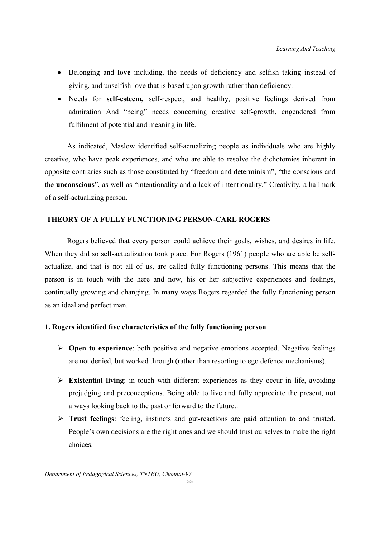- Belonging and love including, the needs of deficiency and selfish taking instead of giving, and unselfish love that is based upon growth rather than deficiency.
- Needs for **self-esteem,** self-respect, and healthy, positive feelings derived from admiration And "being" needs concerning creative self-growth, engendered from fulfilment of potential and meaning in life.

As indicated, Maslow identified self-actualizing people as individuals who are highly creative, who have peak experiences, and who are able to resolve the dichotomies inherent in opposite contraries such as those constituted by "freedom and determinism", "the conscious and the unconscious", as well as "intentionality and a lack of intentionality." Creativity, a hallmark of a self-actualizing person.

# THEORY OF A FULLY FUNCTIONING PERSON-CARL ROGERS

Rogers believed that every person could achieve their goals, wishes, and desires in life. When they did so self-actualization took place. For Rogers (1961) people who are able be selfactualize, and that is not all of us, are called fully functioning persons. This means that the person is in touch with the here and now, his or her subjective experiences and feelings, continually growing and changing. In many ways Rogers regarded the fully functioning person as an ideal and perfect man.

## 1. Rogers identified five characteristics of the fully functioning person

- $\triangleright$  Open to experience: both positive and negative emotions accepted. Negative feelings are not denied, but worked through (rather than resorting to ego defence mechanisms).
- $\triangleright$  Existential living: in touch with different experiences as they occur in life, avoiding prejudging and preconceptions. Being able to live and fully appreciate the present, not always looking back to the past or forward to the future..
- > Trust feelings: feeling, instincts and gut-reactions are paid attention to and trusted. People's own decisions are the right ones and we should trust ourselves to make the right choices.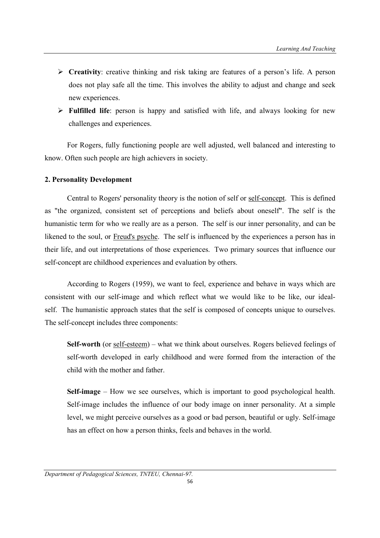- $\triangleright$  Creativity: creative thinking and risk taking are features of a person's life. A person does not play safe all the time. This involves the ability to adjust and change and seek new experiences.
- $\triangleright$  Fulfilled life: person is happy and satisfied with life, and always looking for new challenges and experiences.

For Rogers, fully functioning people are well adjusted, well balanced and interesting to know. Often such people are high achievers in society.

# 2. Personality Development

Central to Rogers' personality theory is the notion of self or self-concept. This is defined as "the organized, consistent set of perceptions and beliefs about oneself". The self is the humanistic term for who we really are as a person. The self is our inner personality, and can be likened to the soul, or Freud's psyche. The self is influenced by the experiences a person has in their life, and out interpretations of those experiences. Two primary sources that influence our self-concept are childhood experiences and evaluation by others.

According to Rogers (1959), we want to feel, experience and behave in ways which are consistent with our self-image and which reflect what we would like to be like, our idealself. The humanistic approach states that the self is composed of concepts unique to ourselves. The self-concept includes three components:

Self-worth (or self-esteem) – what we think about ourselves. Rogers believed feelings of self-worth developed in early childhood and were formed from the interaction of the child with the mother and father.

Self-image – How we see ourselves, which is important to good psychological health. Self-image includes the influence of our body image on inner personality. At a simple level, we might perceive ourselves as a good or bad person, beautiful or ugly. Self-image has an effect on how a person thinks, feels and behaves in the world.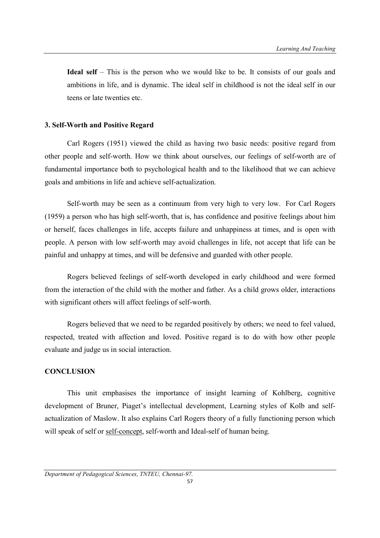Ideal self – This is the person who we would like to be. It consists of our goals and ambitions in life, and is dynamic. The ideal self in childhood is not the ideal self in our teens or late twenties etc.

## 3. Self-Worth and Positive Regard

Carl Rogers (1951) viewed the child as having two basic needs: positive regard from other people and self-worth. How we think about ourselves, our feelings of self-worth are of fundamental importance both to psychological health and to the likelihood that we can achieve goals and ambitions in life and achieve self-actualization.

Self-worth may be seen as a continuum from very high to very low. For Carl Rogers (1959) a person who has high self-worth, that is, has confidence and positive feelings about him or herself, faces challenges in life, accepts failure and unhappiness at times, and is open with people. A person with low self-worth may avoid challenges in life, not accept that life can be painful and unhappy at times, and will be defensive and guarded with other people.

Rogers believed feelings of self-worth developed in early childhood and were formed from the interaction of the child with the mother and father. As a child grows older, interactions with significant others will affect feelings of self-worth.

Rogers believed that we need to be regarded positively by others; we need to feel valued, respected, treated with affection and loved. Positive regard is to do with how other people evaluate and judge us in social interaction.

# **CONCLUSION**

This unit emphasises the importance of insight learning of Kohlberg, cognitive development of Bruner, Piaget's intellectual development, Learning styles of Kolb and selfactualization of Maslow. It also explains Carl Rogers theory of a fully functioning person which will speak of self or self-concept, self-worth and Ideal-self of human being.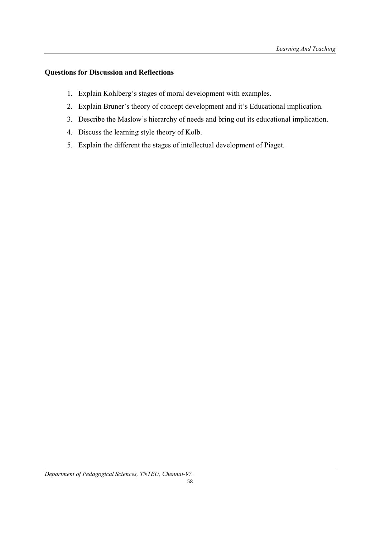# Questions for Discussion and Reflections

- 1. Explain Kohlberg's stages of moral development with examples.
- 2. Explain Bruner's theory of concept development and it's Educational implication.
- 3. Describe the Maslow's hierarchy of needs and bring out its educational implication.
- 4. Discuss the learning style theory of Kolb.
- 5. Explain the different the stages of intellectual development of Piaget.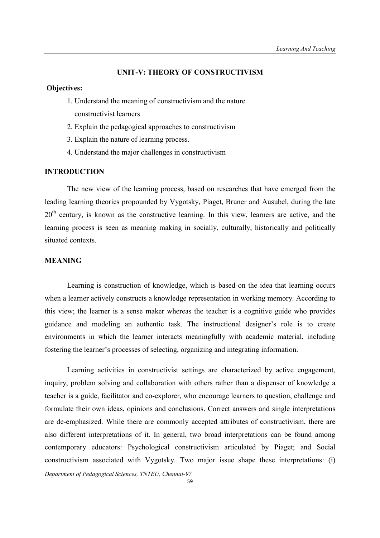## UNIT-V: THEORY OF CONSTRUCTIVISM

#### Objectives:

- 1. Understand the meaning of constructivism and the nature constructivist learners
- 2. Explain the pedagogical approaches to constructivism
- 3. Explain the nature of learning process.
- 4. Understand the major challenges in constructivism

#### INTRODUCTION

 The new view of the learning process, based on researches that have emerged from the leading learning theories propounded by Vygotsky, Piaget, Bruner and Ausubel, during the late  $20<sup>th</sup>$  century, is known as the constructive learning. In this view, learners are active, and the learning process is seen as meaning making in socially, culturally, historically and politically situated contexts.

#### MEANING

 Learning is construction of knowledge, which is based on the idea that learning occurs when a learner actively constructs a knowledge representation in working memory. According to this view; the learner is a sense maker whereas the teacher is a cognitive guide who provides guidance and modeling an authentic task. The instructional designer's role is to create environments in which the learner interacts meaningfully with academic material, including fostering the learner's processes of selecting, organizing and integrating information.

 Learning activities in constructivist settings are characterized by active engagement, inquiry, problem solving and collaboration with others rather than a dispenser of knowledge a teacher is a guide, facilitator and co-explorer, who encourage learners to question, challenge and formulate their own ideas, opinions and conclusions. Correct answers and single interpretations are de-emphasized. While there are commonly accepted attributes of constructivism, there are also different interpretations of it. In general, two broad interpretations can be found among contemporary educators: Psychological constructivism articulated by Piaget; and Social constructivism associated with Vygotsky. Two major issue shape these interpretations: (i)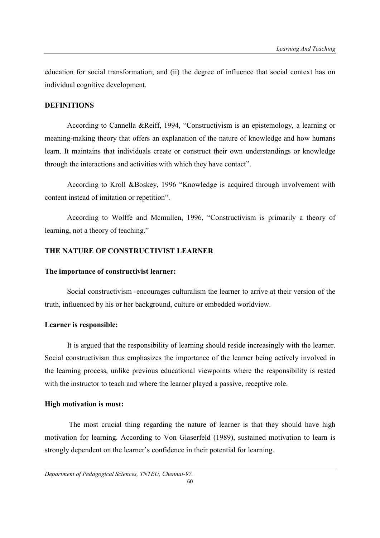education for social transformation; and (ii) the degree of influence that social context has on individual cognitive development.

# **DEFINITIONS**

 According to Cannella &Reiff, 1994, "Constructivism is an epistemology, a learning or meaning-making theory that offers an explanation of the nature of knowledge and how humans learn. It maintains that individuals create or construct their own understandings or knowledge through the interactions and activities with which they have contact".

 According to Kroll &Boskey, 1996 "Knowledge is acquired through involvement with content instead of imitation or repetition".

 According to Wolffe and Mcmullen, 1996, "Constructivism is primarily a theory of learning, not a theory of teaching."

# THE NATURE OF CONSTRUCTIVIST LEARNER

#### The importance of constructivist learner:

 Social constructivism -encourages culturalism the learner to arrive at their version of the truth, influenced by his or her background, culture or embedded worldview.

#### Learner is responsible:

 It is argued that the responsibility of learning should reside increasingly with the learner. Social constructivism thus emphasizes the importance of the learner being actively involved in the learning process, unlike previous educational viewpoints where the responsibility is rested with the instructor to teach and where the learner played a passive, receptive role.

### High motivation is must:

 The most crucial thing regarding the nature of learner is that they should have high motivation for learning. According to Von Glaserfeld (1989), sustained motivation to learn is strongly dependent on the learner's confidence in their potential for learning.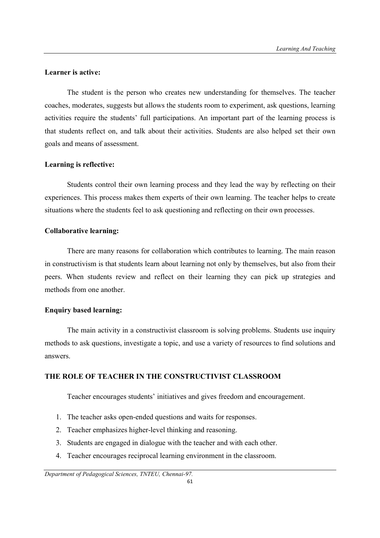# Learner is active:

 The student is the person who creates new understanding for themselves. The teacher coaches, moderates, suggests but allows the students room to experiment, ask questions, learning activities require the students' full participations. An important part of the learning process is that students reflect on, and talk about their activities. Students are also helped set their own goals and means of assessment.

# Learning is reflective:

 Students control their own learning process and they lead the way by reflecting on their experiences. This process makes them experts of their own learning. The teacher helps to create situations where the students feel to ask questioning and reflecting on their own processes.

## Collaborative learning:

 There are many reasons for collaboration which contributes to learning. The main reason in constructivism is that students learn about learning not only by themselves, but also from their peers. When students review and reflect on their learning they can pick up strategies and methods from one another.

# Enquiry based learning:

 The main activity in a constructivist classroom is solving problems. Students use inquiry methods to ask questions, investigate a topic, and use a variety of resources to find solutions and answers.

# THE ROLE OF TEACHER IN THE CONSTRUCTIVIST CLASSROOM

Teacher encourages students' initiatives and gives freedom and encouragement.

- 1. The teacher asks open-ended questions and waits for responses.
- 2. Teacher emphasizes higher-level thinking and reasoning.
- 3. Students are engaged in dialogue with the teacher and with each other.
- 4. Teacher encourages reciprocal learning environment in the classroom.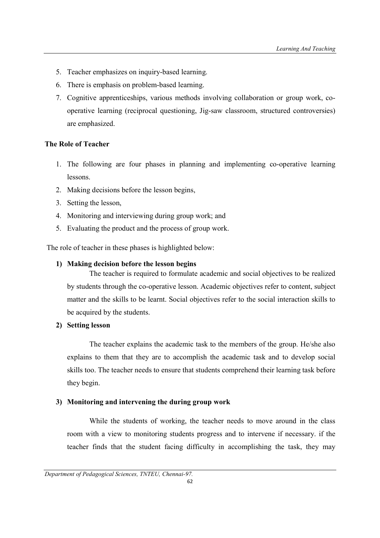- 5. Teacher emphasizes on inquiry-based learning.
- 6. There is emphasis on problem-based learning.
- 7. Cognitive apprenticeships, various methods involving collaboration or group work, cooperative learning (reciprocal questioning, Jig-saw classroom, structured controversies) are emphasized.

# The Role of Teacher

- 1. The following are four phases in planning and implementing co-operative learning lessons.
- 2. Making decisions before the lesson begins,
- 3. Setting the lesson,
- 4. Monitoring and interviewing during group work; and
- 5. Evaluating the product and the process of group work.

The role of teacher in these phases is highlighted below:

# 1) Making decision before the lesson begins

The teacher is required to formulate academic and social objectives to be realized by students through the co-operative lesson. Academic objectives refer to content, subject matter and the skills to be learnt. Social objectives refer to the social interaction skills to be acquired by the students.

# 2) Setting lesson

The teacher explains the academic task to the members of the group. He/she also explains to them that they are to accomplish the academic task and to develop social skills too. The teacher needs to ensure that students comprehend their learning task before they begin.

# 3) Monitoring and intervening the during group work

While the students of working, the teacher needs to move around in the class room with a view to monitoring students progress and to intervene if necessary. if the teacher finds that the student facing difficulty in accomplishing the task, they may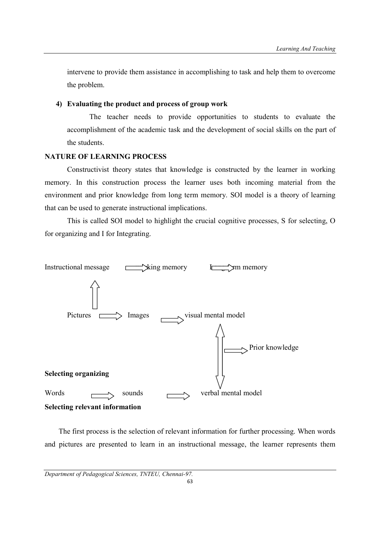intervene to provide them assistance in accomplishing to task and help them to overcome the problem.

#### 4) Evaluating the product and process of group work

The teacher needs to provide opportunities to students to evaluate the accomplishment of the academic task and the development of social skills on the part of the students.

#### NATURE OF LEARNING PROCESS

 Constructivist theory states that knowledge is constructed by the learner in working memory. In this construction process the learner uses both incoming material from the environment and prior knowledge from long term memory. SOI model is a theory of learning that can be used to generate instructional implications.

 This is called SOI model to highlight the crucial cognitive processes, S for selecting, O for organizing and I for Integrating.



 The first process is the selection of relevant information for further processing. When words and pictures are presented to learn in an instructional message, the learner represents them

Department of Pedagogical Sciences, TNTEU, Chennai-97.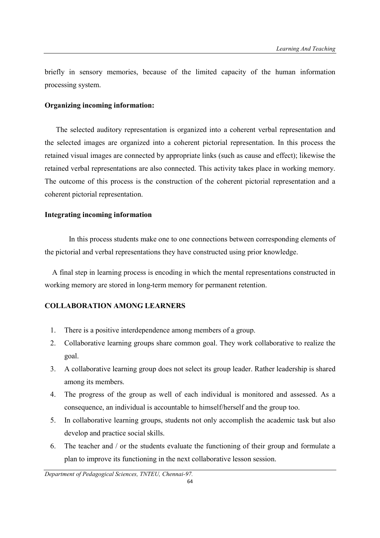briefly in sensory memories, because of the limited capacity of the human information processing system.

## Organizing incoming information:

 The selected auditory representation is organized into a coherent verbal representation and the selected images are organized into a coherent pictorial representation. In this process the retained visual images are connected by appropriate links (such as cause and effect); likewise the retained verbal representations are also connected. This activity takes place in working memory. The outcome of this process is the construction of the coherent pictorial representation and a coherent pictorial representation.

# Integrating incoming information

 In this process students make one to one connections between corresponding elements of the pictorial and verbal representations they have constructed using prior knowledge.

 A final step in learning process is encoding in which the mental representations constructed in working memory are stored in long-term memory for permanent retention.

# COLLABORATION AMONG LEARNERS

- 1. There is a positive interdependence among members of a group.
- 2. Collaborative learning groups share common goal. They work collaborative to realize the goal.
- 3. A collaborative learning group does not select its group leader. Rather leadership is shared among its members.
- 4. The progress of the group as well of each individual is monitored and assessed. As a consequence, an individual is accountable to himself/herself and the group too.
- 5. In collaborative learning groups, students not only accomplish the academic task but also develop and practice social skills.
- 6. The teacher and / or the students evaluate the functioning of their group and formulate a plan to improve its functioning in the next collaborative lesson session.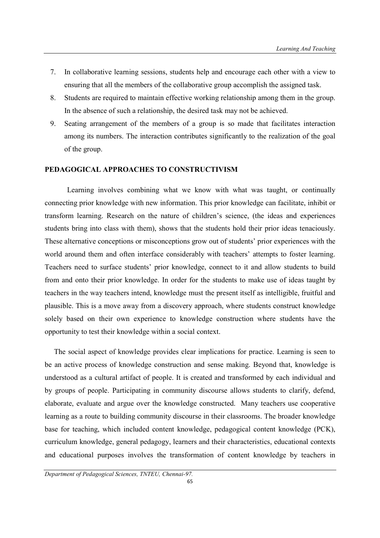- 7. In collaborative learning sessions, students help and encourage each other with a view to ensuring that all the members of the collaborative group accomplish the assigned task.
- 8. Students are required to maintain effective working relationship among them in the group. In the absence of such a relationship, the desired task may not be achieved.
- 9. Seating arrangement of the members of a group is so made that facilitates interaction among its numbers. The interaction contributes significantly to the realization of the goal of the group.

#### PEDAGOGICAL APPROACHES TO CONSTRUCTIVISM

 Learning involves combining what we know with what was taught, or continually connecting prior knowledge with new information. This prior knowledge can facilitate, inhibit or transform learning. Research on the nature of children's science, (the ideas and experiences students bring into class with them), shows that the students hold their prior ideas tenaciously. These alternative conceptions or misconceptions grow out of students' prior experiences with the world around them and often interface considerably with teachers' attempts to foster learning. Teachers need to surface students' prior knowledge, connect to it and allow students to build from and onto their prior knowledge. In order for the students to make use of ideas taught by teachers in the way teachers intend, knowledge must the present itself as intelligible, fruitful and plausible. This is a move away from a discovery approach, where students construct knowledge solely based on their own experience to knowledge construction where students have the opportunity to test their knowledge within a social context.

 The social aspect of knowledge provides clear implications for practice. Learning is seen to be an active process of knowledge construction and sense making. Beyond that, knowledge is understood as a cultural artifact of people. It is created and transformed by each individual and by groups of people. Participating in community discourse allows students to clarify, defend, elaborate, evaluate and argue over the knowledge constructed. Many teachers use cooperative learning as a route to building community discourse in their classrooms. The broader knowledge base for teaching, which included content knowledge, pedagogical content knowledge (PCK), curriculum knowledge, general pedagogy, learners and their characteristics, educational contexts and educational purposes involves the transformation of content knowledge by teachers in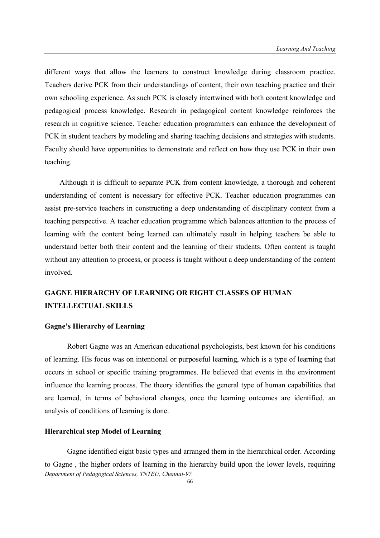different ways that allow the learners to construct knowledge during classroom practice. Teachers derive PCK from their understandings of content, their own teaching practice and their own schooling experience. As such PCK is closely intertwined with both content knowledge and pedagogical process knowledge. Research in pedagogical content knowledge reinforces the research in cognitive science. Teacher education programmers can enhance the development of PCK in student teachers by modeling and sharing teaching decisions and strategies with students. Faculty should have opportunities to demonstrate and reflect on how they use PCK in their own teaching.

 Although it is difficult to separate PCK from content knowledge, a thorough and coherent understanding of content is necessary for effective PCK. Teacher education programmes can assist pre-service teachers in constructing a deep understanding of disciplinary content from a teaching perspective. A teacher education programme which balances attention to the process of learning with the content being learned can ultimately result in helping teachers be able to understand better both their content and the learning of their students. Often content is taught without any attention to process, or process is taught without a deep understanding of the content involved.

# GAGNE HIERARCHY OF LEARNING OR EIGHT CLASSES OF HUMAN INTELLECTUAL SKILLS

#### Gagne's Hierarchy of Learning

Robert Gagne was an American educational psychologists, best known for his conditions of learning. His focus was on intentional or purposeful learning, which is a type of learning that occurs in school or specific training programmes. He believed that events in the environment influence the learning process. The theory identifies the general type of human capabilities that are learned, in terms of behavioral changes, once the learning outcomes are identified, an analysis of conditions of learning is done.

#### Hierarchical step Model of Learning

Department of Pedagogical Sciences, TNTEU, Chennai-97. Gagne identified eight basic types and arranged them in the hierarchical order. According to Gagne , the higher orders of learning in the hierarchy build upon the lower levels, requiring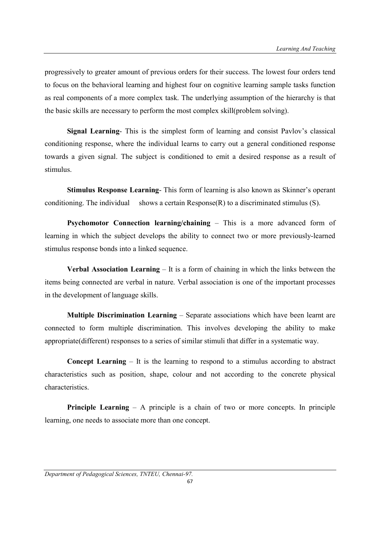progressively to greater amount of previous orders for their success. The lowest four orders tend to focus on the behavioral learning and highest four on cognitive learning sample tasks function as real components of a more complex task. The underlying assumption of the hierarchy is that the basic skills are necessary to perform the most complex skill(problem solving).

Signal Learning- This is the simplest form of learning and consist Pavlov's classical conditioning response, where the individual learns to carry out a general conditioned response towards a given signal. The subject is conditioned to emit a desired response as a result of stimulus.

Stimulus Response Learning- This form of learning is also known as Skinner's operant conditioning. The individual shows a certain Response  $(R)$  to a discriminated stimulus  $(S)$ .

Psychomotor Connection learning/chaining – This is a more advanced form of learning in which the subject develops the ability to connect two or more previously-learned stimulus response bonds into a linked sequence.

Verbal Association Learning – It is a form of chaining in which the links between the items being connected are verbal in nature. Verbal association is one of the important processes in the development of language skills.

Multiple Discrimination Learning – Separate associations which have been learnt are connected to form multiple discrimination. This involves developing the ability to make appropriate(different) responses to a series of similar stimuli that differ in a systematic way.

**Concept Learning – It is the learning to respond to a stimulus according to abstract** characteristics such as position, shape, colour and not according to the concrete physical characteristics.

Principle Learning – A principle is a chain of two or more concepts. In principle learning, one needs to associate more than one concept.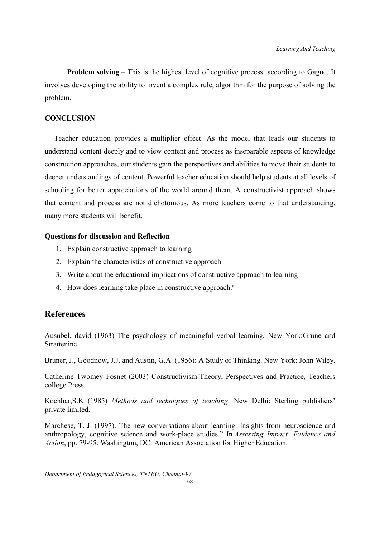Problem solving – This is the highest level of cognitive process according to Gagne. It involves developing the ability to invent a complex rule, algorithm for the purpose of solving the problem.

# **CONCLUSION**

 Teacher education provides a multiplier effect. As the model that leads our students to understand content deeply and to view content and process as inseparable aspects of knowledge construction approaches, our students gain the perspectives and abilities to move their students to deeper understandings of content. Powerful teacher education should help students at all levels of schooling for better appreciations of the world around them. A constructivist approach shows that content and process are not dichotomous. As more teachers come to that understanding, many more students will benefit.

# Questions for discussion and Reflection

- 1. Explain constructive approach to learning
- 2. Explain the characteristics of constructive approach
- 3. Write about the educational implications of constructive approach to learning
- 4. How does learning take place in constructive approach?

# References

Ausubel, david (1963) The psychology of meaningful verbal learning, New York:Grune and Stratteninc.

Bruner, J., Goodnow, J.J. and Austin, G.A. (1956): A Study of Thinking. New York: John Wiley.

Catherine Twomey Fosnet (2003) Constructivism-Theory, Perspectives and Practice, Teachers college Press.

Kochhar,S.K (1985) Methods and techniques of teaching. New Delhi: Sterling publishers' private limited.

Marchese, T. J. (1997). The new conversations about learning: Insights from neuroscience and anthropology, cognitive science and work-place studies." In Assessing Impact: Evidence and Action, pp. 79-95. Washington, DC: American Association for Higher Education.